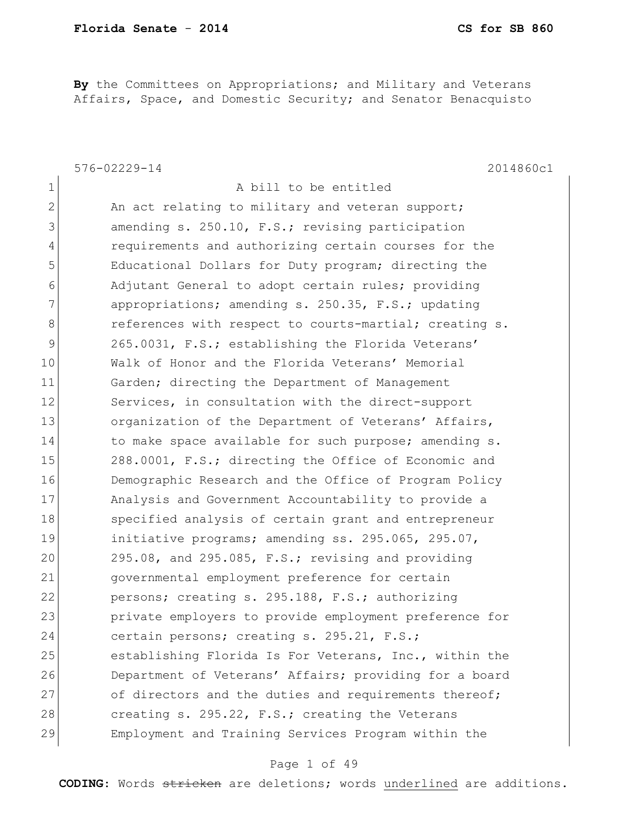**By** the Committees on Appropriations; and Military and Veterans Affairs, Space, and Domestic Security; and Senator Benacquisto

|              | 2014860c1<br>$576 - 02229 - 14$                        |
|--------------|--------------------------------------------------------|
| $\mathbf 1$  | A bill to be entitled                                  |
| $\mathbf{2}$ | An act relating to military and veteran support;       |
| 3            | amending s. 250.10, F.S.; revising participation       |
| 4            | requirements and authorizing certain courses for the   |
| 5            | Educational Dollars for Duty program; directing the    |
| 6            | Adjutant General to adopt certain rules; providing     |
| 7            | appropriations; amending s. 250.35, F.S.; updating     |
| 8            | references with respect to courts-martial; creating s. |
| 9            | 265.0031, F.S.; establishing the Florida Veterans'     |
| 10           | Walk of Honor and the Florida Veterans' Memorial       |
| 11           | Garden; directing the Department of Management         |
| 12           | Services, in consultation with the direct-support      |
| 13           | organization of the Department of Veterans' Affairs,   |
| 14           | to make space available for such purpose; amending s.  |
| 15           | 288.0001, F.S.; directing the Office of Economic and   |
| 16           | Demographic Research and the Office of Program Policy  |
| 17           | Analysis and Government Accountability to provide a    |
| 18           | specified analysis of certain grant and entrepreneur   |
| 19           | initiative programs; amending ss. 295.065, 295.07,     |
| 20           | 295.08, and 295.085, F.S.; revising and providing      |
| 21           | governmental employment preference for certain         |
| 22           | persons; creating s. 295.188, F.S.; authorizing        |
| 23           | private employers to provide employment preference for |
| 24           | certain persons; creating s. 295.21, F.S.;             |
| 25           | establishing Florida Is For Veterans, Inc., within the |
| 26           | Department of Veterans' Affairs; providing for a board |
| 27           | of directors and the duties and requirements thereof;  |
| 28           | creating s. 295.22, F.S.; creating the Veterans        |
| 29           | Employment and Training Services Program within the    |

## Page 1 of 49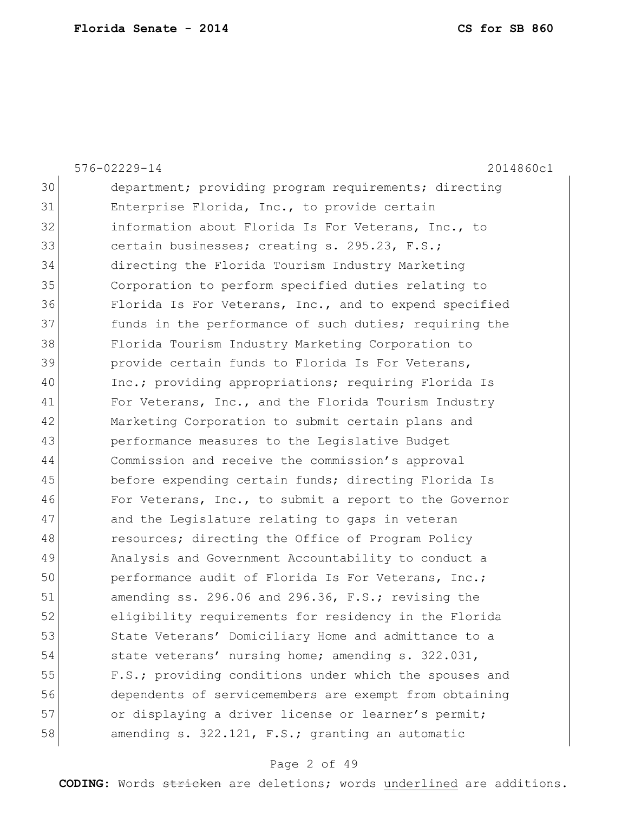|    | 2014860c1<br>576-02229-14                              |
|----|--------------------------------------------------------|
| 30 | department; providing program requirements; directing  |
| 31 | Enterprise Florida, Inc., to provide certain           |
| 32 | information about Florida Is For Veterans, Inc., to    |
| 33 | certain businesses; creating s. 295.23, F.S.;          |
| 34 | directing the Florida Tourism Industry Marketing       |
| 35 | Corporation to perform specified duties relating to    |
| 36 | Florida Is For Veterans, Inc., and to expend specified |
| 37 | funds in the performance of such duties; requiring the |
| 38 | Florida Tourism Industry Marketing Corporation to      |
| 39 | provide certain funds to Florida Is For Veterans,      |
| 40 | Inc.; providing appropriations; requiring Florida Is   |
| 41 | For Veterans, Inc., and the Florida Tourism Industry   |
| 42 | Marketing Corporation to submit certain plans and      |
| 43 | performance measures to the Legislative Budget         |
| 44 | Commission and receive the commission's approval       |
| 45 | before expending certain funds; directing Florida Is   |
| 46 | For Veterans, Inc., to submit a report to the Governor |
| 47 | and the Legislature relating to gaps in veteran        |
| 48 | resources; directing the Office of Program Policy      |
| 49 | Analysis and Government Accountability to conduct a    |
| 50 | performance audit of Florida Is For Veterans, Inc.;    |
| 51 | amending ss. 296.06 and 296.36, F.S.; revising the     |
| 52 | eligibility requirements for residency in the Florida  |
| 53 | State Veterans' Domiciliary Home and admittance to a   |
| 54 | state veterans' nursing home; amending s. 322.031,     |
| 55 | F.S.; providing conditions under which the spouses and |
| 56 | dependents of servicemembers are exempt from obtaining |
| 57 | or displaying a driver license or learner's permit;    |
| 58 | amending s. 322.121, F.S.; granting an automatic       |
|    |                                                        |

# Page 2 of 49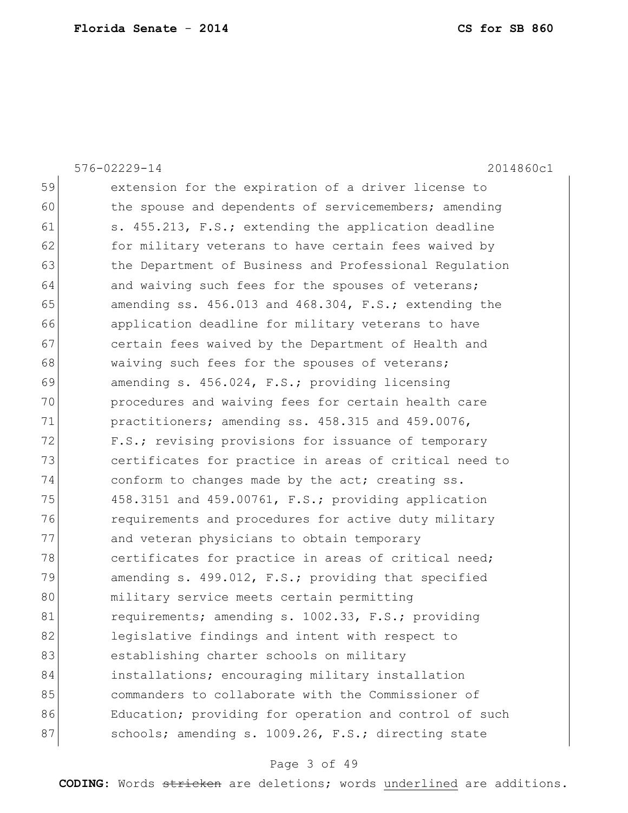|    | 576-02229-14<br>2014860c1                                  |
|----|------------------------------------------------------------|
| 59 | extension for the expiration of a driver license to        |
| 60 | the spouse and dependents of servicemembers; amending      |
| 61 | s. 455.213, F.S.; extending the application deadline       |
| 62 | for military veterans to have certain fees waived by       |
| 63 | the Department of Business and Professional Regulation     |
| 64 | and waiving such fees for the spouses of veterans;         |
| 65 | amending ss. $456.013$ and $468.304$ , F.S.; extending the |
| 66 | application deadline for military veterans to have         |
| 67 | certain fees waived by the Department of Health and        |
| 68 | waiving such fees for the spouses of veterans;             |
| 69 | amending s. 456.024, F.S.; providing licensing             |
| 70 | procedures and waiving fees for certain health care        |
| 71 | practitioners; amending ss. 458.315 and 459.0076,          |
| 72 | F.S.; revising provisions for issuance of temporary        |
| 73 | certificates for practice in areas of critical need to     |
| 74 | conform to changes made by the act; creating ss.           |
| 75 | 458.3151 and 459.00761, F.S.; providing application        |
| 76 | requirements and procedures for active duty military       |
| 77 | and veteran physicians to obtain temporary                 |
| 78 | certificates for practice in areas of critical need;       |
| 79 | amending s. 499.012, F.S.; providing that specified        |
| 80 | military service meets certain permitting                  |
| 81 | requirements; amending s. 1002.33, F.S.; providing         |
| 82 | legislative findings and intent with respect to            |
| 83 | establishing charter schools on military                   |
| 84 | installations; encouraging military installation           |
| 85 | commanders to collaborate with the Commissioner of         |
| 86 | Education; providing for operation and control of such     |
| 87 | schools; amending s. 1009.26, F.S.; directing state        |

# Page 3 of 49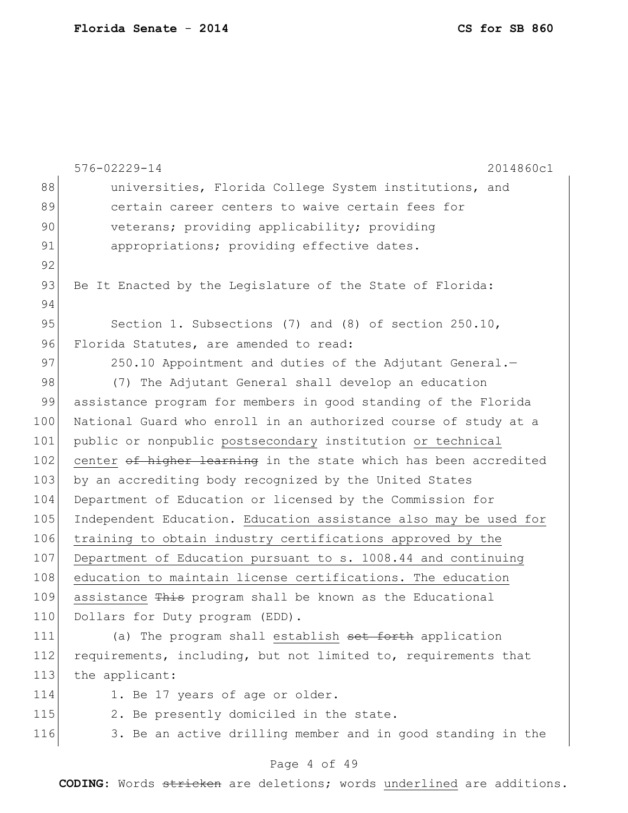|     | 576-02229-14<br>2014860c1                                        |
|-----|------------------------------------------------------------------|
| 88  | universities, Florida College System institutions, and           |
| 89  | certain career centers to waive certain fees for                 |
| 90  | veterans; providing applicability; providing                     |
| 91  | appropriations; providing effective dates.                       |
| 92  |                                                                  |
| 93  | Be It Enacted by the Legislature of the State of Florida:        |
| 94  |                                                                  |
| 95  | Section 1. Subsections (7) and (8) of section $250.10$ ,         |
| 96  | Florida Statutes, are amended to read:                           |
| 97  | 250.10 Appointment and duties of the Adjutant General.-          |
| 98  | (7) The Adjutant General shall develop an education              |
| 99  | assistance program for members in good standing of the Florida   |
| 100 | National Guard who enroll in an authorized course of study at a  |
| 101 | public or nonpublic postsecondary institution or technical       |
| 102 | center of higher learning in the state which has been accredited |
| 103 | by an accrediting body recognized by the United States           |
| 104 | Department of Education or licensed by the Commission for        |
| 105 | Independent Education. Education assistance also may be used for |
| 106 | training to obtain industry certifications approved by the       |
| 107 | Department of Education pursuant to s. 1008.44 and continuing    |
| 108 | education to maintain license certifications. The education      |
| 109 | assistance This program shall be known as the Educational        |
| 110 | Dollars for Duty program (EDD).                                  |
| 111 | (a) The program shall establish set forth application            |
| 112 | requirements, including, but not limited to, requirements that   |
| 113 | the applicant:                                                   |
| 114 | 1. Be 17 years of age or older.                                  |
| 115 | 2. Be presently domiciled in the state.                          |
| 116 | 3. Be an active drilling member and in good standing in the      |
|     |                                                                  |

# Page 4 of 49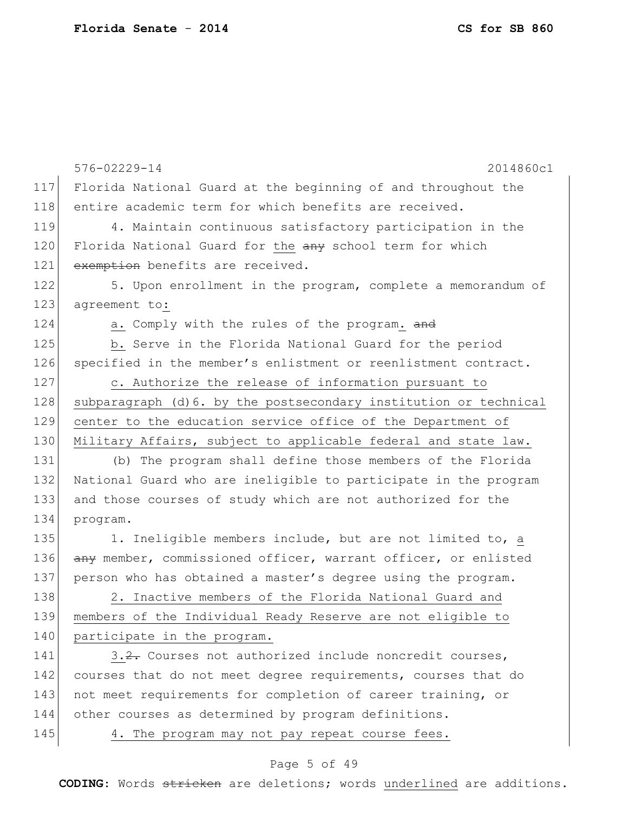|     | $576 - 02229 - 14$<br>2014860c1                                   |
|-----|-------------------------------------------------------------------|
| 117 | Florida National Guard at the beginning of and throughout the     |
| 118 | entire academic term for which benefits are received.             |
| 119 | 4. Maintain continuous satisfactory participation in the          |
| 120 | Florida National Guard for the any school term for which          |
| 121 | exemption benefits are received.                                  |
| 122 | 5. Upon enrollment in the program, complete a memorandum of       |
| 123 | agreement to:                                                     |
| 124 | a. Comply with the rules of the program. and                      |
| 125 | b. Serve in the Florida National Guard for the period             |
| 126 | specified in the member's enlistment or reenlistment contract.    |
| 127 | c. Authorize the release of information pursuant to               |
| 128 | subparagraph (d) 6. by the postsecondary institution or technical |
| 129 | center to the education service office of the Department of       |
| 130 | Military Affairs, subject to applicable federal and state law.    |
| 131 | (b) The program shall define those members of the Florida         |
| 132 | National Guard who are ineligible to participate in the program   |
| 133 | and those courses of study which are not authorized for the       |
| 134 | program.                                                          |
| 135 | 1. Ineligible members include, but are not limited to, a          |
| 136 | any member, commissioned officer, warrant officer, or enlisted    |
| 137 | person who has obtained a master's degree using the program.      |
| 138 | 2. Inactive members of the Florida National Guard and             |
| 139 | members of the Individual Ready Reserve are not eligible to       |
| 140 | participate in the program.                                       |
| 141 | 3.2. Courses not authorized include noncredit courses,            |
| 142 | courses that do not meet degree requirements, courses that do     |
| 143 | not meet requirements for completion of career training, or       |
| 144 | other courses as determined by program definitions.               |
| 145 | 4. The program may not pay repeat course fees.                    |

# Page 5 of 49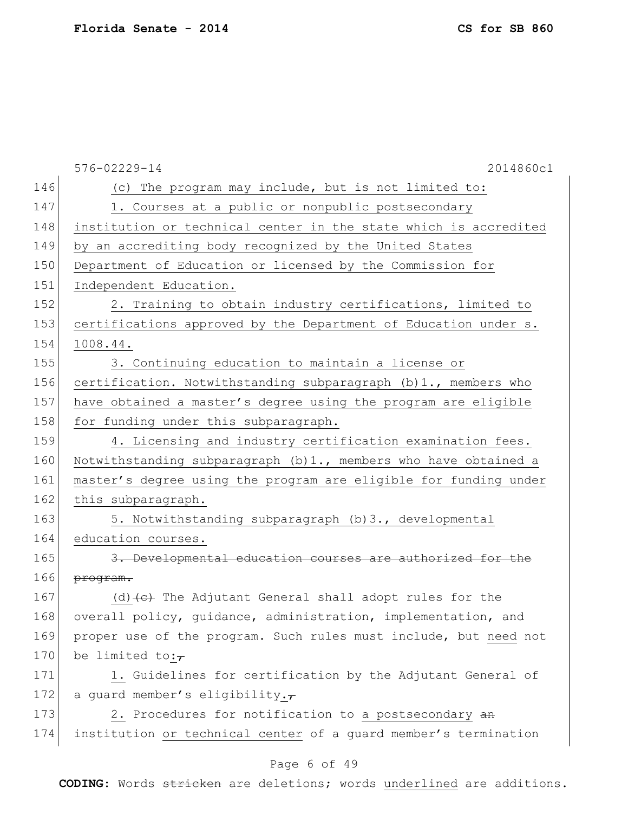|     | 576-02229-14<br>2014860c1                                                    |
|-----|------------------------------------------------------------------------------|
| 146 | (c) The program may include, but is not limited to:                          |
| 147 | 1. Courses at a public or nonpublic postsecondary                            |
| 148 | institution or technical center in the state which is accredited             |
| 149 | by an accrediting body recognized by the United States                       |
| 150 | Department of Education or licensed by the Commission for                    |
| 151 | Independent Education.                                                       |
| 152 | 2. Training to obtain industry certifications, limited to                    |
| 153 | certifications approved by the Department of Education under s.              |
| 154 | 1008.44.                                                                     |
| 155 | 3. Continuing education to maintain a license or                             |
| 156 | certification. Notwithstanding subparagraph (b) 1., members who              |
| 157 | have obtained a master's degree using the program are eligible               |
| 158 | for funding under this subparagraph.                                         |
| 159 | 4. Licensing and industry certification examination fees.                    |
| 160 | Notwithstanding subparagraph (b) 1., members who have obtained a             |
| 161 | master's degree using the program are eligible for funding under             |
| 162 | this subparagraph.                                                           |
| 163 | 5. Notwithstanding subparagraph (b) 3., developmental                        |
| 164 | education courses.                                                           |
| 165 | 3. Developmental education courses are authorized for the                    |
| 166 | program.                                                                     |
| 167 | (d) $\left\{\text{e}\right\}$ The Adjutant General shall adopt rules for the |
| 168 | overall policy, quidance, administration, implementation, and                |
| 169 | proper use of the program. Such rules must include, but need not             |
| 170 | be limited to: $\overline{ }$                                                |
| 171 | 1. Guidelines for certification by the Adjutant General of                   |
| 172 | a guard member's eligibility. $\tau$                                         |
| 173 | 2. Procedures for notification to a postsecondary an                         |
| 174 | institution or technical center of a guard member's termination              |
|     | Page 6 of 49                                                                 |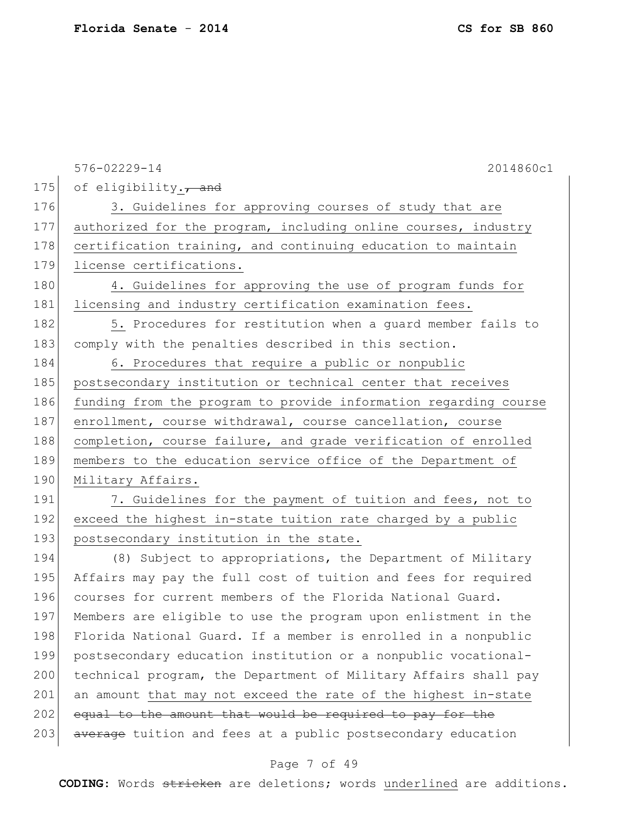576-02229-14 2014860c1 175 of eligibility., and 176 3. Guidelines for approving courses of study that are 177 authorized for the program, including online courses, industry 178 certification training, and continuing education to maintain 179 license certifications. 180 4. Guidelines for approving the use of program funds for 181 licensing and industry certification examination fees. 182 5. Procedures for restitution when a quard member fails to 183 comply with the penalties described in this section. 184 6. Procedures that require a public or nonpublic 185 postsecondary institution or technical center that receives 186 funding from the program to provide information regarding course 187 enrollment, course withdrawal, course cancellation, course 188 completion, course failure, and grade verification of enrolled 189 members to the education service office of the Department of 190 Military Affairs. 191 7. Guidelines for the payment of tuition and fees, not to 192 exceed the highest in-state tuition rate charged by a public 193 postsecondary institution in the state. 194 (8) Subject to appropriations, the Department of Military 195 Affairs may pay the full cost of tuition and fees for required 196 courses for current members of the Florida National Guard. 197 Members are eligible to use the program upon enlistment in the 198 Florida National Guard. If a member is enrolled in a nonpublic 199 postsecondary education institution or a nonpublic vocational-200 technical program, the Department of Military Affairs shall pay 201 an amount that may not exceed the rate of the highest in-state 202 equal to the amount that would be required to pay for the 203 average tuition and fees at a public postsecondary education

## Page 7 of 49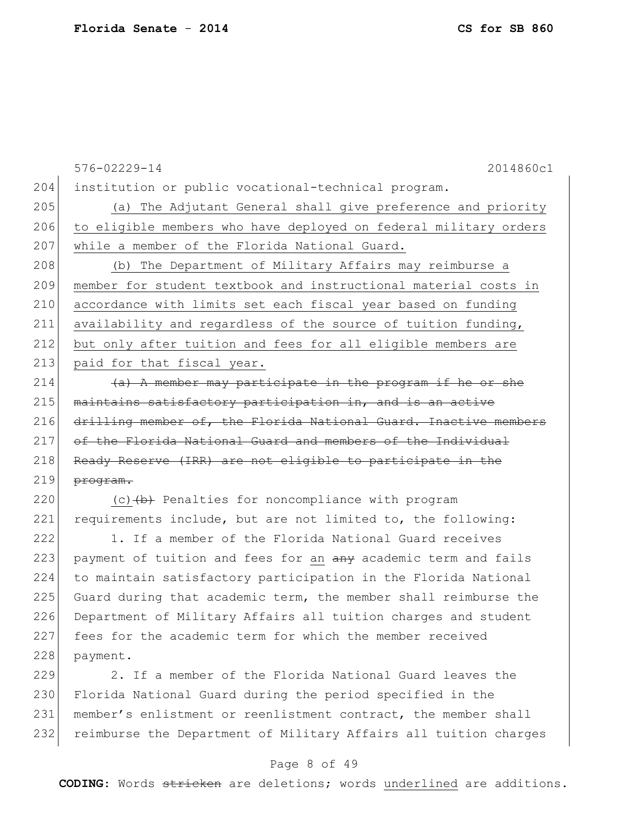576-02229-14 2014860c1 204 institution or public vocational-technical program. 205 (a) The Adjutant General shall give preference and priority 206 to eligible members who have deployed on federal military orders 207 While a member of the Florida National Guard. 208 (b) The Department of Military Affairs may reimburse a 209 member for student textbook and instructional material costs in 210 accordance with limits set each fiscal year based on funding 211 availability and regardless of the source of tuition funding, 212 but only after tuition and fees for all eligible members are 213 paid for that fiscal year. 214  $(a)$  A member may participate in the program if he or she 215 maintains satisfactory participation in, and is an active 216 drilling member of, the Florida National Guard. Inactive members 217 of the Florida National Guard and members of the Individual 218 Ready Reserve (IRR) are not eligible to participate in the 219 program. 220  $(c)$   $(b)$  Penalties for noncompliance with program 221 requirements include, but are not limited to, the following: 222 1. If a member of the Florida National Guard receives 223 payment of tuition and fees for an  $\frac{a_n}{b_n}$  academic term and fails 224 to maintain satisfactory participation in the Florida National 225 Guard during that academic term, the member shall reimburse the 226 Department of Military Affairs all tuition charges and student 227 fees for the academic term for which the member received 228 payment.

229 2. If a member of the Florida National Guard leaves the 230 Florida National Guard during the period specified in the 231 member's enlistment or reenlistment contract, the member shall 232 reimburse the Department of Military Affairs all tuition charges

#### Page 8 of 49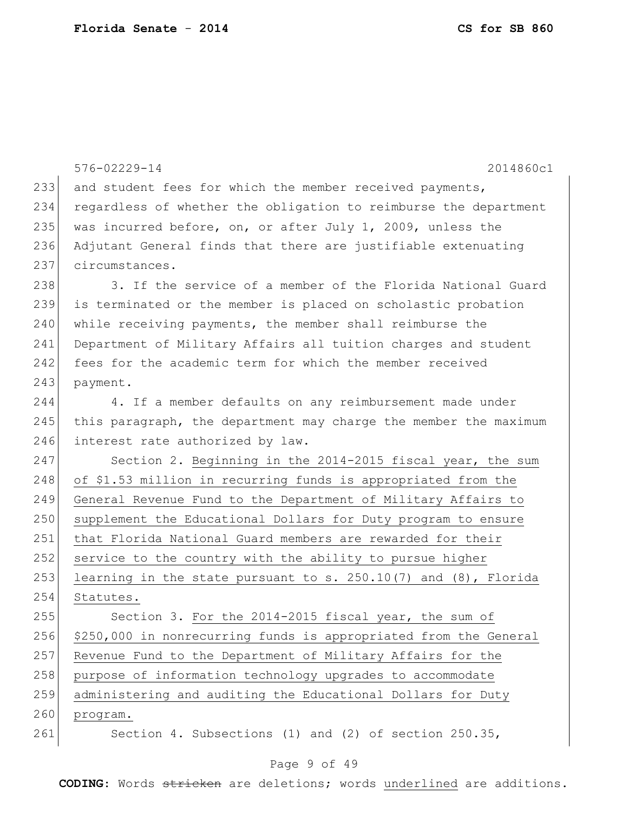|     | $576 - 02229 - 14$<br>2014860c1                                      |
|-----|----------------------------------------------------------------------|
| 233 | and student fees for which the member received payments,             |
| 234 | regardless of whether the obligation to reimburse the department     |
| 235 | was incurred before, on, or after July 1, 2009, unless the           |
| 236 | Adjutant General finds that there are justifiable extenuating        |
| 237 | circumstances.                                                       |
| 238 | 3. If the service of a member of the Florida National Guard          |
| 239 | is terminated or the member is placed on scholastic probation        |
| 240 | while receiving payments, the member shall reimburse the             |
| 241 | Department of Military Affairs all tuition charges and student       |
| 242 | fees for the academic term for which the member received             |
| 243 | payment.                                                             |
| 244 | 4. If a member defaults on any reimbursement made under              |
| 245 | this paragraph, the department may charge the member the maximum     |
| 246 | interest rate authorized by law.                                     |
| 247 | Section 2. Beginning in the 2014-2015 fiscal year, the sum           |
| 248 | of \$1.53 million in recurring funds is appropriated from the        |
| 249 | General Revenue Fund to the Department of Military Affairs to        |
| 250 | supplement the Educational Dollars for Duty program to ensure        |
| 251 | that Florida National Guard members are rewarded for their           |
| 252 | service to the country with the ability to pursue higher             |
| 253 | learning in the state pursuant to s. $250.10(7)$ and $(8)$ , Florida |
| 254 | Statutes.                                                            |
| 255 | Section 3. For the 2014-2015 fiscal year, the sum of                 |
| 256 | \$250,000 in nonrecurring funds is appropriated from the General     |
| 257 | Revenue Fund to the Department of Military Affairs for the           |
| 258 | purpose of information technology upgrades to accommodate            |
| 259 | administering and auditing the Educational Dollars for Duty          |
| 260 | program.                                                             |
| 261 | Section 4. Subsections (1) and (2) of section 250.35,                |
|     |                                                                      |

# Page 9 of 49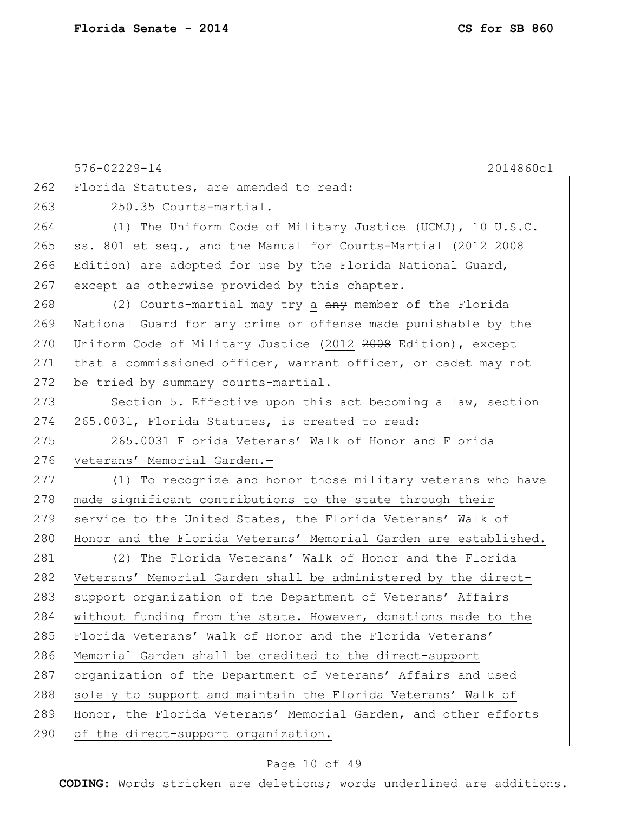|     | 2014860c1<br>$576 - 02229 - 14$                                  |
|-----|------------------------------------------------------------------|
| 262 | Florida Statutes, are amended to read:                           |
| 263 | 250.35 Courts-martial.-                                          |
| 264 | (1) The Uniform Code of Military Justice (UCMJ), 10 U.S.C.       |
| 265 | ss. 801 et seq., and the Manual for Courts-Martial (2012 2008    |
| 266 | Edition) are adopted for use by the Florida National Guard,      |
| 267 | except as otherwise provided by this chapter.                    |
| 268 | (2) Courts-martial may try a any member of the Florida           |
| 269 | National Guard for any crime or offense made punishable by the   |
| 270 | Uniform Code of Military Justice (2012 2008 Edition), except     |
| 271 | that a commissioned officer, warrant officer, or cadet may not   |
| 272 | be tried by summary courts-martial.                              |
| 273 | Section 5. Effective upon this act becoming a law, section       |
| 274 | 265.0031, Florida Statutes, is created to read:                  |
| 275 | 265.0031 Florida Veterans' Walk of Honor and Florida             |
| 276 | Veterans' Memorial Garden.-                                      |
| 277 | (1) To recognize and honor those military veterans who have      |
| 278 | made significant contributions to the state through their        |
| 279 | service to the United States, the Florida Veterans' Walk of      |
| 280 | Honor and the Florida Veterans' Memorial Garden are established. |
| 281 | (2) The Florida Veterans' Walk of Honor and the Florida          |
| 282 | Veterans' Memorial Garden shall be administered by the direct-   |
| 283 | support organization of the Department of Veterans' Affairs      |
| 284 | without funding from the state. However, donations made to the   |
| 285 | Florida Veterans' Walk of Honor and the Florida Veterans'        |
| 286 | Memorial Garden shall be credited to the direct-support          |
| 287 | organization of the Department of Veterans' Affairs and used     |
| 288 | solely to support and maintain the Florida Veterans' Walk of     |
| 289 | Honor, the Florida Veterans' Memorial Garden, and other efforts  |
| 290 | of the direct-support organization.                              |

# Page 10 of 49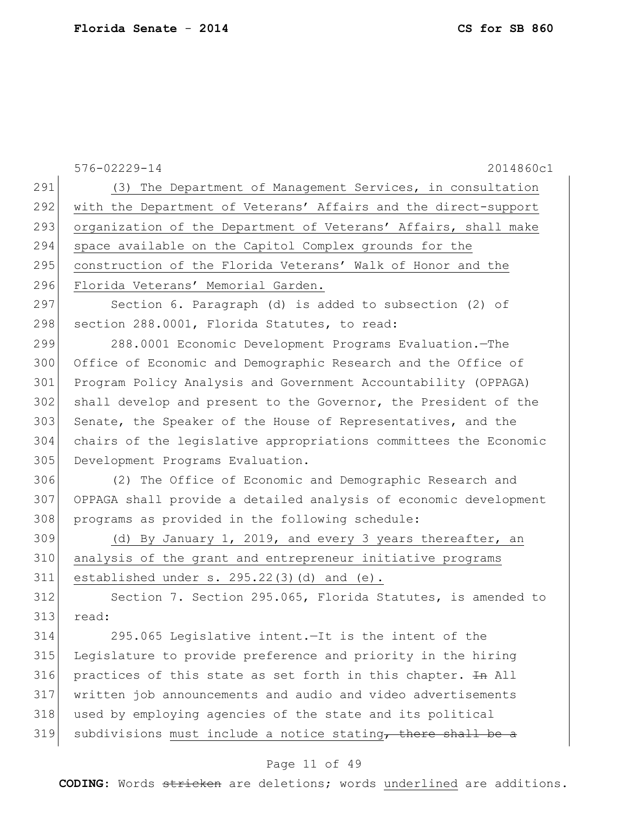576-02229-14 2014860c1 291 (3) The Department of Management Services, in consultation 292 with the Department of Veterans' Affairs and the direct-support 293 organization of the Department of Veterans' Affairs, shall make 294 space available on the Capitol Complex grounds for the 295 construction of the Florida Veterans' Walk of Honor and the 296 Florida Veterans' Memorial Garden. 297 Section 6. Paragraph (d) is added to subsection (2) of 298 section 288.0001, Florida Statutes, to read: 299 288.0001 Economic Development Programs Evaluation.—The 300 Office of Economic and Demographic Research and the Office of 301 Program Policy Analysis and Government Accountability (OPPAGA) 302 shall develop and present to the Governor, the President of the 303 Senate, the Speaker of the House of Representatives, and the 304 chairs of the legislative appropriations committees the Economic 305 Development Programs Evaluation. 306 (2) The Office of Economic and Demographic Research and 307 OPPAGA shall provide a detailed analysis of economic development 308 programs as provided in the following schedule:  $309$  (d) By January 1, 2019, and every 3 years thereafter, an 310 analysis of the grant and entrepreneur initiative programs  $311$  established under s. 295.22(3)(d) and (e). 312 Section 7. Section 295.065, Florida Statutes, is amended to 313 read: 314 295.065 Legislative intent.—It is the intent of the 315 Legislature to provide preference and priority in the hiring 316 practices of this state as set forth in this chapter.  $H$ n All 317 written job announcements and audio and video advertisements 318 used by employing agencies of the state and its political 319 subdivisions must include a notice stating, there shall be a

#### Page 11 of 49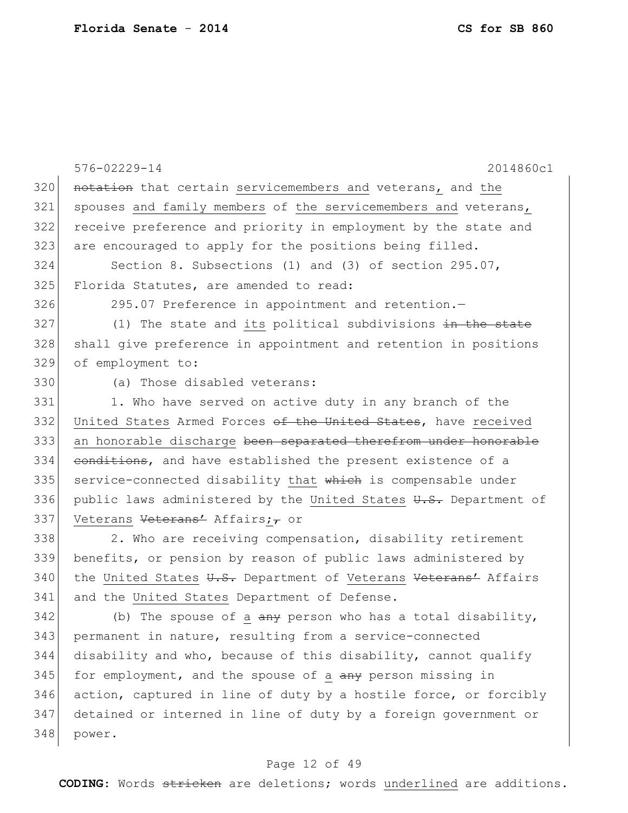|     | 2014860c1<br>$576 - 02229 - 14$                                  |
|-----|------------------------------------------------------------------|
| 320 | notation that certain servicemembers and veterans, and the       |
| 321 | spouses and family members of the servicemembers and veterans,   |
| 322 | receive preference and priority in employment by the state and   |
| 323 | are encouraged to apply for the positions being filled.          |
| 324 | Section 8. Subsections (1) and (3) of section $295.07$ ,         |
| 325 | Florida Statutes, are amended to read:                           |
| 326 | 295.07 Preference in appointment and retention.-                 |
| 327 | (1) The state and its political subdivisions $\pm n$ the state   |
| 328 | shall give preference in appointment and retention in positions  |
| 329 | of employment to:                                                |
| 330 | (a) Those disabled veterans:                                     |
| 331 | 1. Who have served on active duty in any branch of the           |
| 332 | United States Armed Forces of the United States, have received   |
| 333 | an honorable discharge been separated therefrom under honorable  |
| 334 | conditions, and have established the present existence of a      |
| 335 | service-connected disability that which is compensable under     |
| 336 | public laws administered by the United States U.S. Department of |
| 337 | Veterans Veterans' Affairs;, or                                  |
| 338 | 2. Who are receiving compensation, disability retirement         |
| 339 | benefits, or pension by reason of public laws administered by    |
| 340 | the United States U.S. Department of Veterans Veterans' Affairs  |
| 341 | and the United States Department of Defense.                     |
| 342 | (b) The spouse of a any person who has a total disability,       |
| 343 | permanent in nature, resulting from a service-connected          |
| 344 | disability and who, because of this disability, cannot qualify   |
| 345 | for employment, and the spouse of a any person missing in        |
| 346 | action, captured in line of duty by a hostile force, or forcibly |
| 347 | detained or interned in line of duty by a foreign government or  |
| 348 | power.                                                           |
|     |                                                                  |

# Page 12 of 49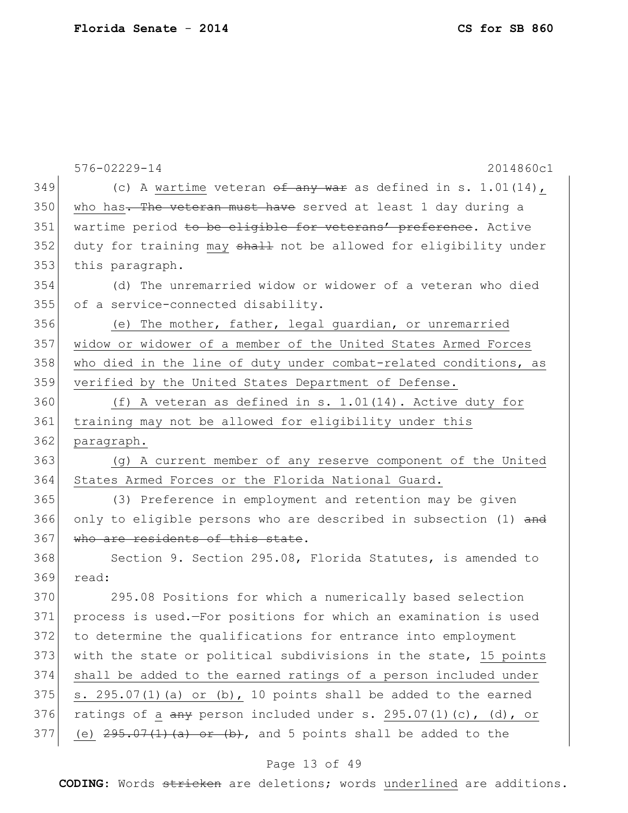|     | $576 - 02229 - 14$<br>2014860c1                                           |
|-----|---------------------------------------------------------------------------|
| 349 | (c) A wartime veteran $\theta$ any war as defined in s. 1.01(14),         |
| 350 | who has. The veteran must have served at least 1 day during a             |
| 351 | wartime period to be cligible for veterans' preference. Active            |
| 352 | duty for training may shall not be allowed for eligibility under          |
| 353 | this paragraph.                                                           |
| 354 | (d) The unremarried widow or widower of a veteran who died                |
| 355 | of a service-connected disability.                                        |
| 356 | (e) The mother, father, legal guardian, or unremarried                    |
| 357 | widow or widower of a member of the United States Armed Forces            |
| 358 | who died in the line of duty under combat-related conditions, as          |
| 359 | verified by the United States Department of Defense.                      |
| 360 | (f) A veteran as defined in s. $1.01(14)$ . Active duty for               |
| 361 | training may not be allowed for eligibility under this                    |
| 362 | paragraph.                                                                |
| 363 | (g) A current member of any reserve component of the United               |
| 364 | States Armed Forces or the Florida National Guard.                        |
| 365 | (3) Preference in employment and retention may be given                   |
| 366 | only to eligible persons who are described in subsection (1) and          |
| 367 | who are residents of this state.                                          |
| 368 | Section 9. Section 295.08, Florida Statutes, is amended to                |
| 369 | read:                                                                     |
| 370 | 295.08 Positions for which a numerically based selection                  |
| 371 | process is used.-For positions for which an examination is used           |
| 372 | to determine the qualifications for entrance into employment              |
| 373 | with the state or political subdivisions in the state, 15 points          |
| 374 | shall be added to the earned ratings of a person included under           |
| 375 | s. 295.07(1)(a) or (b), 10 points shall be added to the earned            |
| 376 | ratings of a $\frac{a}{a}$ person included under s. 295.07(1)(c), (d), or |
| 377 | (e) $295.07(1)(a)$ or (b), and 5 points shall be added to the             |
|     |                                                                           |

# Page 13 of 49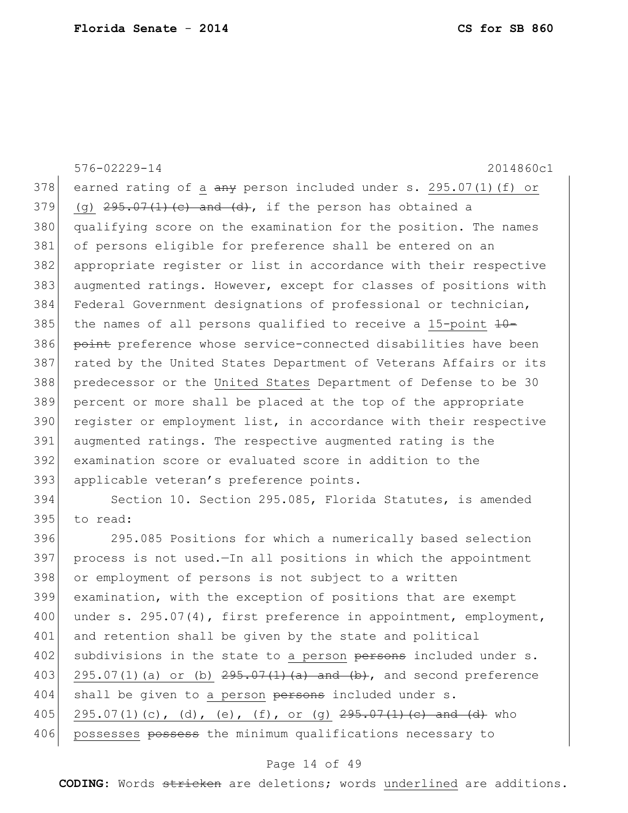576-02229-14 2014860c1 378 earned rating of a  $\frac{a}{b}$  person included under s. 295.07(1)(f) or 379 (g)  $295.07(1)(e)$  and  $(d)$ , if the person has obtained a 380 qualifying score on the examination for the position. The names 381 of persons eligible for preference shall be entered on an 382 appropriate register or list in accordance with their respective 383 augmented ratings. However, except for classes of positions with 384 Federal Government designations of professional or technician, 385 the names of all persons qualified to receive a 15-point  $+0-$ 386 point preference whose service-connected disabilities have been 387 rated by the United States Department of Veterans Affairs or its 388 predecessor or the United States Department of Defense to be 30 389 percent or more shall be placed at the top of the appropriate 390 register or employment list, in accordance with their respective 391 augmented ratings. The respective augmented rating is the 392 examination score or evaluated score in addition to the 393 applicable veteran's preference points. 394 Section 10. Section 295.085, Florida Statutes, is amended 395 to read: 396 295.085 Positions for which a numerically based selection 397 process is not used.—In all positions in which the appointment 398 or employment of persons is not subject to a written 399 examination, with the exception of positions that are exempt 400 under s. 295.07(4), first preference in appointment, employment, 401 and retention shall be given by the state and political 402 subdivisions in the state to a person persons included under s. 403 295.07(1)(a) or (b)  $295.07(1)(a)$  and  $(b)$ , and second preference

404 shall be given to a person persons included under s.

405 295.07(1)(c), (d), (e), (f), or (g)  $295.07(1)(e)$  and (d) who 406 possesses possess the minimum qualifications necessary to

#### Page 14 of 49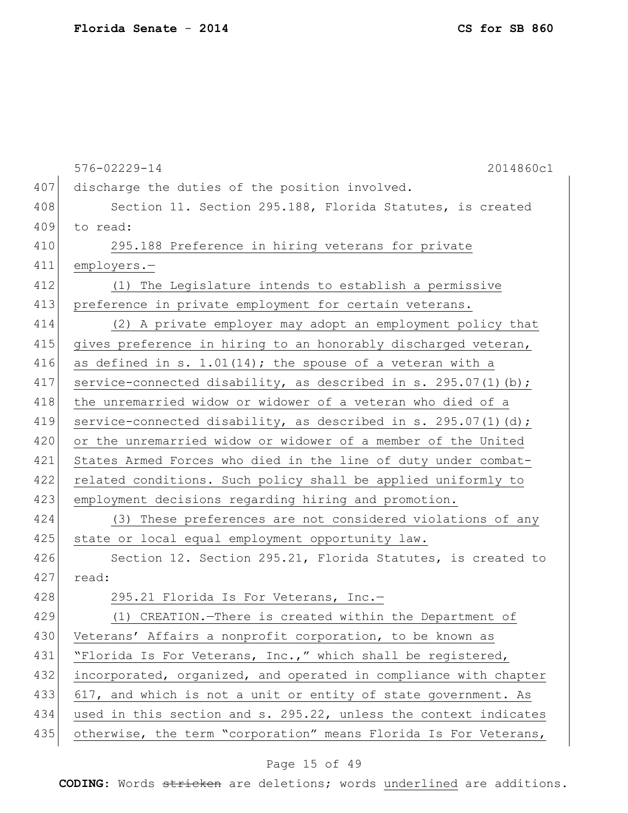|     | $576 - 02229 - 14$<br>2014860c1                                  |
|-----|------------------------------------------------------------------|
| 407 | discharge the duties of the position involved.                   |
| 408 | Section 11. Section 295.188, Florida Statutes, is created        |
| 409 | to read:                                                         |
| 410 | 295.188 Preference in hiring veterans for private                |
| 411 | employers.-                                                      |
| 412 | (1) The Legislature intends to establish a permissive            |
| 413 | preference in private employment for certain veterans.           |
| 414 | (2) A private employer may adopt an employment policy that       |
| 415 | gives preference in hiring to an honorably discharged veteran,   |
| 416 | as defined in s. 1.01(14); the spouse of a veteran with a        |
| 417 | service-connected disability, as described in s. 295.07(1) (b);  |
| 418 | the unremarried widow or widower of a veteran who died of a      |
| 419 | service-connected disability, as described in s. 295.07(1)(d);   |
| 420 | or the unremarried widow or widower of a member of the United    |
| 421 | States Armed Forces who died in the line of duty under combat-   |
| 422 | related conditions. Such policy shall be applied uniformly to    |
| 423 | employment decisions regarding hiring and promotion.             |
| 424 | (3) These preferences are not considered violations of any       |
| 425 | state or local equal employment opportunity law.                 |
| 426 | Section 12. Section 295.21, Florida Statutes, is created to      |
| 427 | read:                                                            |
| 428 | 295.21 Florida Is For Veterans, Inc.-                            |
| 429 | (1) CREATION.-There is created within the Department of          |
| 430 | Veterans' Affairs a nonprofit corporation, to be known as        |
| 431 | "Florida Is For Veterans, Inc.," which shall be registered,      |
| 432 | incorporated, organized, and operated in compliance with chapter |
| 433 | 617, and which is not a unit or entity of state government. As   |
| 434 | used in this section and s. 295.22, unless the context indicates |
| 435 | otherwise, the term "corporation" means Florida Is For Veterans, |

# Page 15 of 49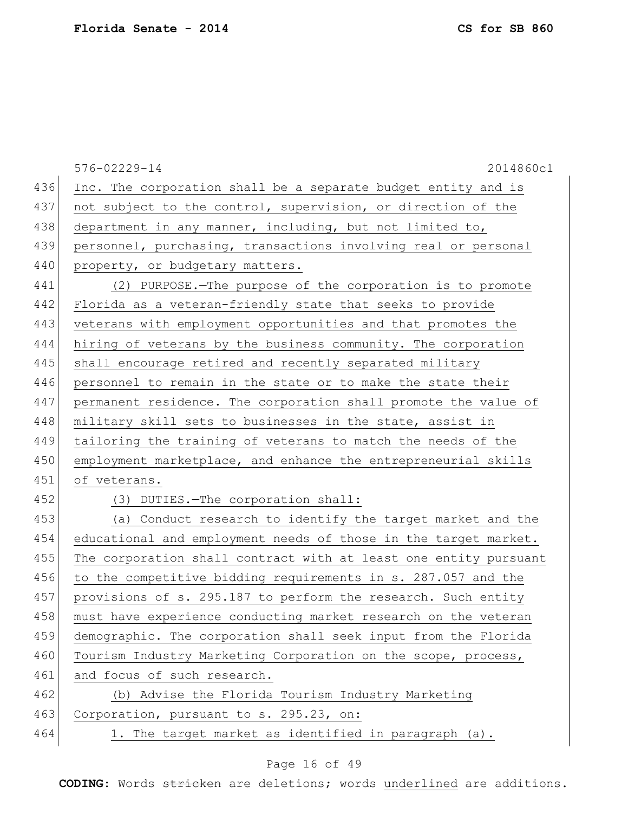576-02229-14 2014860c1 436 Inc. The corporation shall be a separate budget entity and is 437 not subject to the control, supervision, or direction of the 438 department in any manner, including, but not limited to, 439 personnel, purchasing, transactions involving real or personal 440 property, or budgetary matters. 441 (2) PURPOSE.—The purpose of the corporation is to promote 442 Florida as a veteran-friendly state that seeks to provide 443 veterans with employment opportunities and that promotes the 444 hiring of veterans by the business community. The corporation 445 shall encourage retired and recently separated military 446 personnel to remain in the state or to make the state their 447 permanent residence. The corporation shall promote the value of 448 military skill sets to businesses in the state, assist in 449 tailoring the training of veterans to match the needs of the 450 employment marketplace, and enhance the entrepreneurial skills 451 of veterans. 452 (3) DUTIES. - The corporation shall: 453 (a) Conduct research to identify the target market and the 454 educational and employment needs of those in the target market. 455 The corporation shall contract with at least one entity pursuant 456 to the competitive bidding requirements in s. 287.057 and the 457 provisions of s. 295.187 to perform the research. Such entity 458 must have experience conducting market research on the veteran 459 demographic. The corporation shall seek input from the Florida 460 Tourism Industry Marketing Corporation on the scope, process, 461 and focus of such research. 462 (b) Advise the Florida Tourism Industry Marketing 463 Corporation, pursuant to s. 295.23, on:

## Page 16 of 49

464 1. The target market as identified in paragraph (a).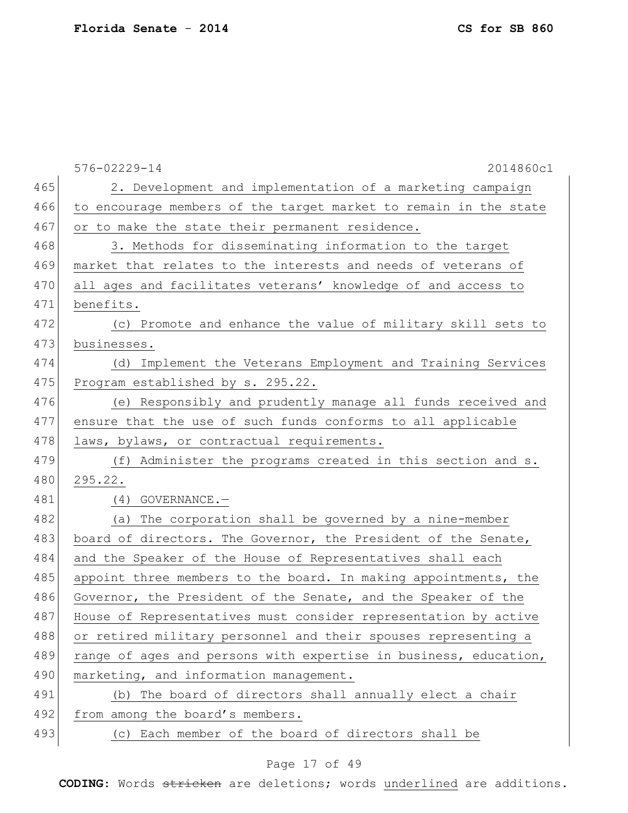576-02229-14 2014860c1 465 2. Development and implementation of a marketing campaign 466 to encourage members of the target market to remain in the state 467 or to make the state their permanent residence. 468 3. Methods for disseminating information to the target 469 market that relates to the interests and needs of veterans of 470 all ages and facilitates veterans' knowledge of and access to 471 benefits. 472 (c) Promote and enhance the value of military skill sets to 473 businesses. 474 (d) Implement the Veterans Employment and Training Services 475 Program established by s. 295.22. 476 (e) Responsibly and prudently manage all funds received and 477 ensure that the use of such funds conforms to all applicable 478 laws, bylaws, or contractual requirements. 479 (f) Administer the programs created in this section and s. 480 295.22. 481 (4) GOVERNANCE. 482 (a) The corporation shall be governed by a nine-member 483 board of directors. The Governor, the President of the Senate, 484 and the Speaker of the House of Representatives shall each 485 appoint three members to the board. In making appointments, the 486 Governor, the President of the Senate, and the Speaker of the 487 House of Representatives must consider representation by active 488 or retired military personnel and their spouses representing a 489 range of ages and persons with expertise in business, education, 490 marketing, and information management. 491 (b) The board of directors shall annually elect a chair 492 from among the board's members. 493 (c) Each member of the board of directors shall be

## Page 17 of 49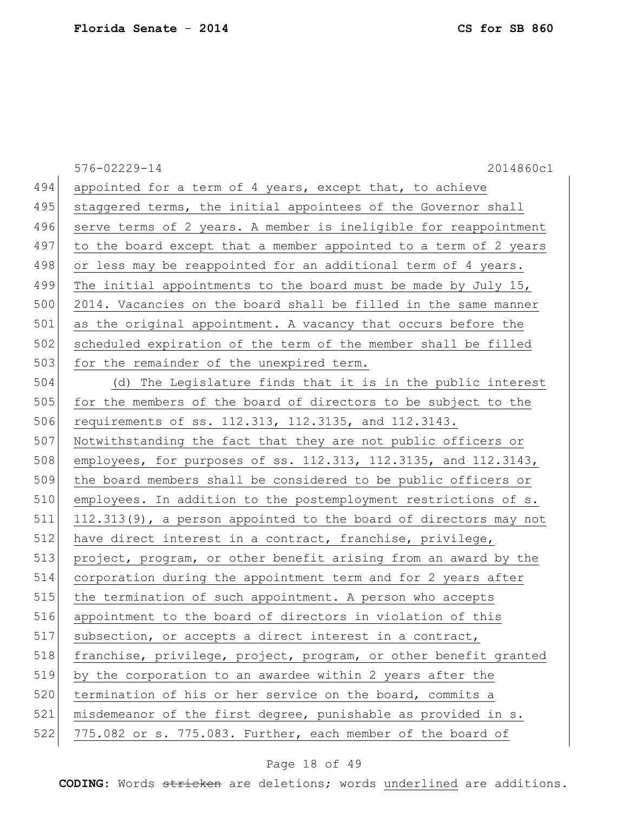576-02229-14 2014860c1 494 appointed for a term of 4 years, except that, to achieve 495 staggered terms, the initial appointees of the Governor shall 496 serve terms of 2 years. A member is ineligible for reappointment 497 to the board except that a member appointed to a term of 2 years 498 or less may be reappointed for an additional term of 4 years. 499 The initial appointments to the board must be made by July 15, 500 2014. Vacancies on the board shall be filled in the same manner 501 as the original appointment. A vacancy that occurs before the 502 scheduled expiration of the term of the member shall be filled 503 for the remainder of the unexpired term. 504 (d) The Legislature finds that it is in the public interest 505 for the members of the board of directors to be subject to the 506 requirements of ss. 112.313, 112.3135, and 112.3143. 507 Notwithstanding the fact that they are not public officers or 508 employees, for purposes of ss. 112.313, 112.3135, and 112.3143, 509 the board members shall be considered to be public officers or 510 employees. In addition to the postemployment restrictions of s. 511 112.313(9), a person appointed to the board of directors may not 512 have direct interest in a contract, franchise, privilege, 513 project, program, or other benefit arising from an award by the 514 corporation during the appointment term and for 2 years after 515 the termination of such appointment. A person who accepts 516 appointment to the board of directors in violation of this 517 subsection, or accepts a direct interest in a contract, 518 franchise, privilege, project, program, or other benefit granted 519 by the corporation to an awardee within 2 years after the 520 termination of his or her service on the board, commits a 521 misdemeanor of the first degree, punishable as provided in s. 522 775.082 or s. 775.083. Further, each member of the board of

#### Page 18 of 49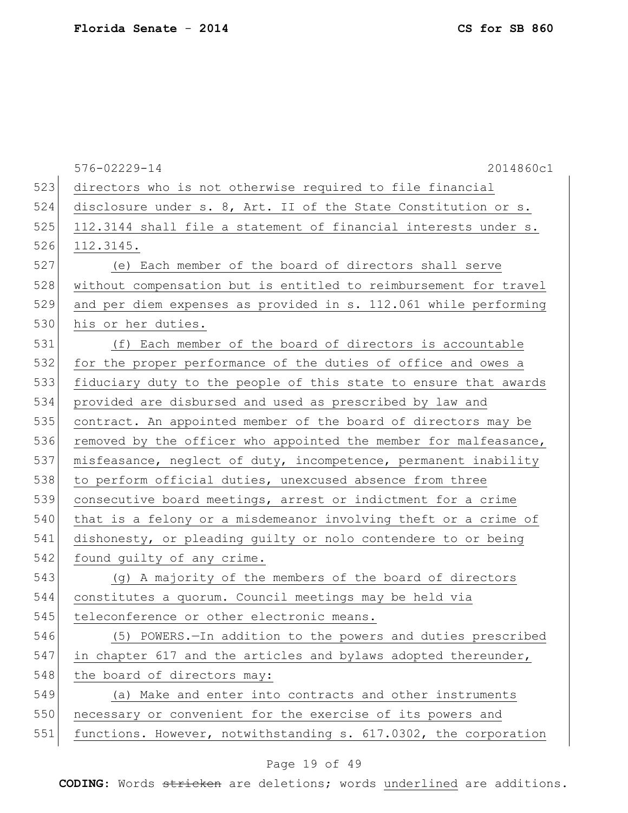576-02229-14 2014860c1 523 directors who is not otherwise required to file financial 524 disclosure under s. 8, Art. II of the State Constitution or s. 525 112.3144 shall file a statement of financial interests under s. 526 112.3145. 527 (e) Each member of the board of directors shall serve 528 without compensation but is entitled to reimbursement for travel 529 and per diem expenses as provided in s. 112.061 while performing 530 his or her duties. 531 (f) Each member of the board of directors is accountable 532 for the proper performance of the duties of office and owes a 533 fiduciary duty to the people of this state to ensure that awards 534 provided are disbursed and used as prescribed by law and 535 contract. An appointed member of the board of directors may be 536 removed by the officer who appointed the member for malfeasance, 537 misfeasance, neglect of duty, incompetence, permanent inability 538 to perform official duties, unexcused absence from three 539 consecutive board meetings, arrest or indictment for a crime 540 that is a felony or a misdemeanor involving theft or a crime of 541 dishonesty, or pleading guilty or nolo contendere to or being 542 found guilty of any crime. 543 (g) A majority of the members of the board of directors 544 constitutes a quorum. Council meetings may be held via 545 teleconference or other electronic means. 546 (5) POWERS.—In addition to the powers and duties prescribed 547 in chapter 617 and the articles and bylaws adopted thereunder, 548 the board of directors may: 549 (a) Make and enter into contracts and other instruments 550 necessary or convenient for the exercise of its powers and 551 functions. However, notwithstanding s. 617.0302, the corporation

#### Page 19 of 49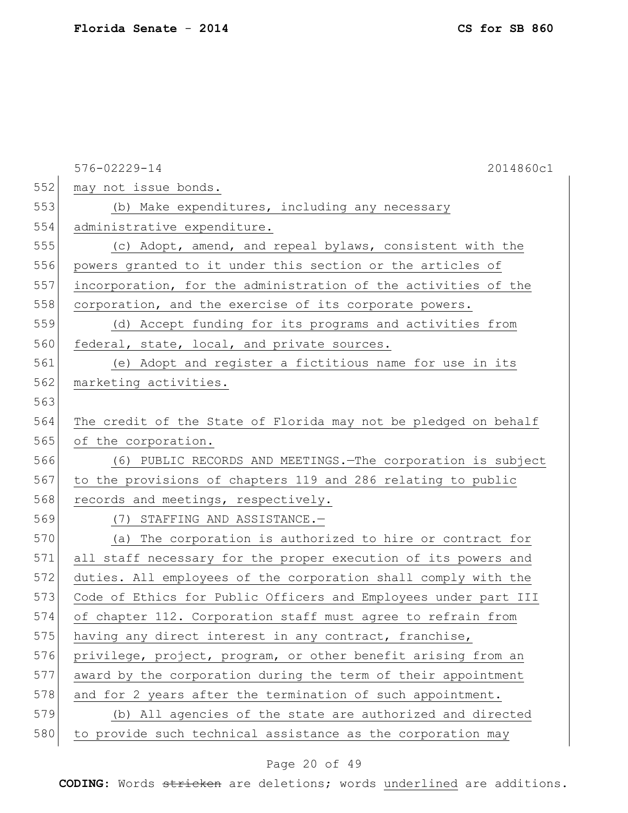|     | 2014860c1<br>$576 - 02229 - 14$                                 |
|-----|-----------------------------------------------------------------|
| 552 | may not issue bonds.                                            |
| 553 | (b) Make expenditures, including any necessary                  |
| 554 | administrative expenditure.                                     |
| 555 | (c) Adopt, amend, and repeal bylaws, consistent with the        |
| 556 | powers granted to it under this section or the articles of      |
| 557 | incorporation, for the administration of the activities of the  |
| 558 | corporation, and the exercise of its corporate powers.          |
| 559 | (d) Accept funding for its programs and activities from         |
| 560 | federal, state, local, and private sources.                     |
| 561 | (e) Adopt and register a fictitious name for use in its         |
| 562 | marketing activities.                                           |
| 563 |                                                                 |
| 564 | The credit of the State of Florida may not be pledged on behalf |
| 565 | of the corporation.                                             |
| 566 | (6) PUBLIC RECORDS AND MEETINGS. The corporation is subject     |
| 567 | to the provisions of chapters 119 and 286 relating to public    |
| 568 | records and meetings, respectively.                             |
| 569 | (7) STAFFING AND ASSISTANCE.-                                   |
| 570 | (a) The corporation is authorized to hire or contract for       |
| 571 | all staff necessary for the proper execution of its powers and  |
| 572 | duties. All employees of the corporation shall comply with the  |
| 573 | Code of Ethics for Public Officers and Employees under part III |
| 574 | of chapter 112. Corporation staff must agree to refrain from    |
| 575 | having any direct interest in any contract, franchise,          |
| 576 | privilege, project, program, or other benefit arising from an   |
| 577 | award by the corporation during the term of their appointment   |
| 578 | and for 2 years after the termination of such appointment.      |
| 579 | (b) All agencies of the state are authorized and directed       |
| 580 | to provide such technical assistance as the corporation may     |
|     |                                                                 |

# Page 20 of 49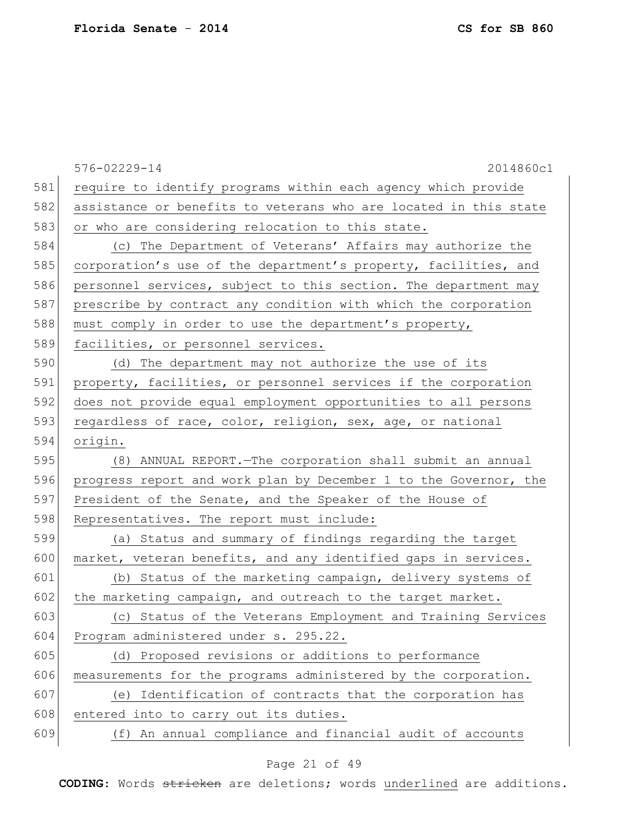576-02229-14 2014860c1 581 require to identify programs within each agency which provide 582 assistance or benefits to veterans who are located in this state 583 or who are considering relocation to this state. 584 (c) The Department of Veterans' Affairs may authorize the 585 corporation's use of the department's property, facilities, and 586 personnel services, subject to this section. The department may 587 prescribe by contract any condition with which the corporation 588 must comply in order to use the department's property, 589 facilities, or personnel services. 590 (d) The department may not authorize the use of its 591 property, facilities, or personnel services if the corporation 592 does not provide equal employment opportunities to all persons 593 regardless of race, color, religion, sex, age, or national 594 origin. 595 (8) ANNUAL REPORT.—The corporation shall submit an annual 596 progress report and work plan by December 1 to the Governor, the 597 President of the Senate, and the Speaker of the House of 598 Representatives. The report must include: 599 (a) Status and summary of findings regarding the target 600 market, veteran benefits, and any identified gaps in services. 601 (b) Status of the marketing campaign, delivery systems of 602 the marketing campaign, and outreach to the target market. 603 (c) Status of the Veterans Employment and Training Services 604 Program administered under s. 295.22. 605 (d) Proposed revisions or additions to performance 606 measurements for the programs administered by the corporation. 607 (e) Identification of contracts that the corporation has 608 entered into to carry out its duties. 609 (f) An annual compliance and financial audit of accounts

### Page 21 of 49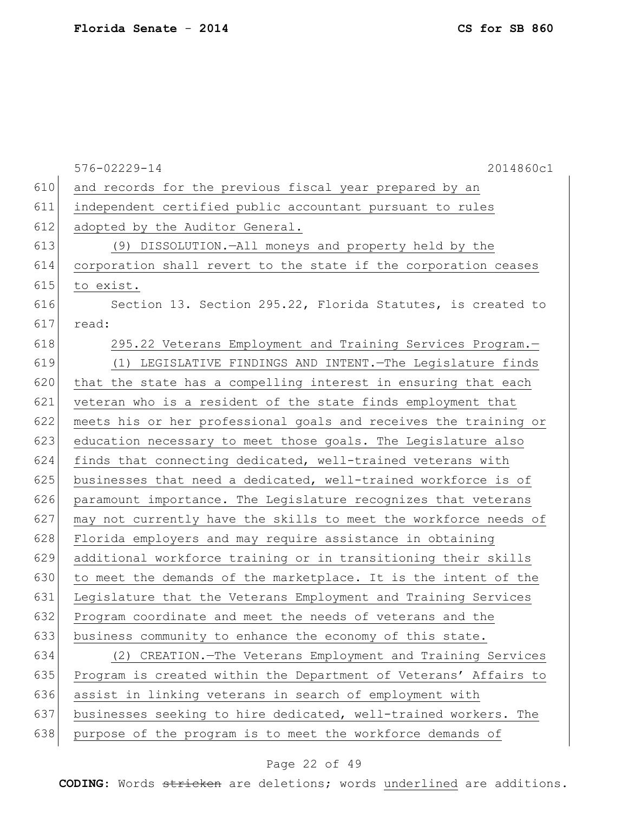|     | $576 - 02229 - 14$<br>2014860c1                                  |
|-----|------------------------------------------------------------------|
| 610 | and records for the previous fiscal year prepared by an          |
| 611 | independent certified public accountant pursuant to rules        |
| 612 | adopted by the Auditor General.                                  |
| 613 | (9) DISSOLUTION.-All moneys and property held by the             |
| 614 | corporation shall revert to the state if the corporation ceases  |
| 615 | to exist.                                                        |
| 616 | Section 13. Section 295.22, Florida Statutes, is created to      |
| 617 | read:                                                            |
| 618 | 295.22 Veterans Employment and Training Services Program.-       |
| 619 | (1) LEGISLATIVE FINDINGS AND INTENT. The Legislature finds       |
| 620 | that the state has a compelling interest in ensuring that each   |
| 621 | veteran who is a resident of the state finds employment that     |
| 622 | meets his or her professional goals and receives the training or |
| 623 | education necessary to meet those goals. The Legislature also    |
| 624 | finds that connecting dedicated, well-trained veterans with      |
| 625 | businesses that need a dedicated, well-trained workforce is of   |
| 626 | paramount importance. The Legislature recognizes that veterans   |
| 627 | may not currently have the skills to meet the workforce needs of |
| 628 | Florida employers and may require assistance in obtaining        |
| 629 | additional workforce training or in transitioning their skills   |
| 630 | to meet the demands of the marketplace. It is the intent of the  |
| 631 | Legislature that the Veterans Employment and Training Services   |
| 632 | Program coordinate and meet the needs of veterans and the        |
| 633 | business community to enhance the economy of this state.         |
| 634 | (2) CREATION. - The Veterans Employment and Training Services    |
| 635 | Program is created within the Department of Veterans' Affairs to |
| 636 | assist in linking veterans in search of employment with          |
| 637 | businesses seeking to hire dedicated, well-trained workers. The  |
| 638 | purpose of the program is to meet the workforce demands of       |

# Page 22 of 49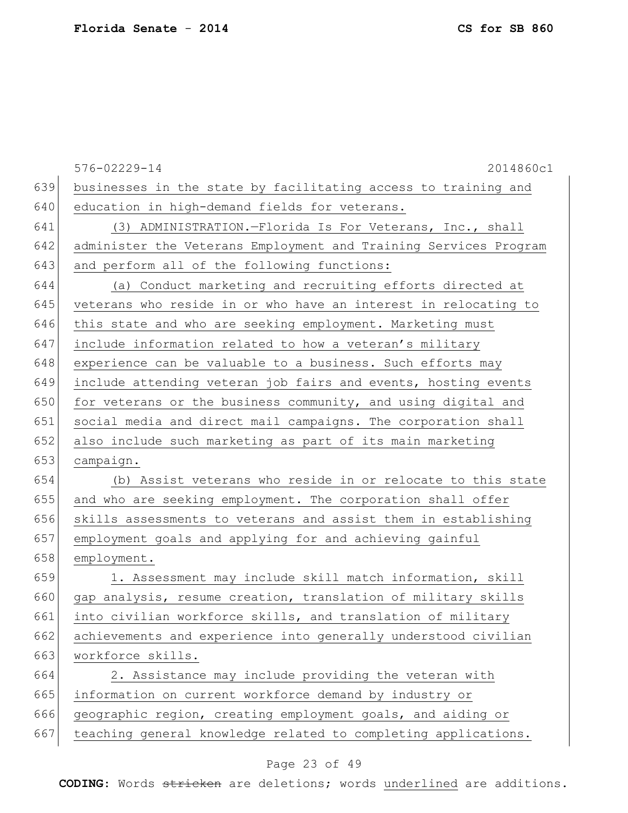576-02229-14 2014860c1 businesses in the state by facilitating access to training and 640 education in high-demand fields for veterans. (3) ADMINISTRATION.—Florida Is For Veterans, Inc., shall administer the Veterans Employment and Training Services Program 643 and perform all of the following functions: (a) Conduct marketing and recruiting efforts directed at 645 veterans who reside in or who have an interest in relocating to 646 this state and who are seeking employment. Marketing must include information related to how a veteran's military 648 experience can be valuable to a business. Such efforts may include attending veteran job fairs and events, hosting events 650 for veterans or the business community, and using digital and social media and direct mail campaigns. The corporation shall also include such marketing as part of its main marketing campaign. (b) Assist veterans who reside in or relocate to this state and who are seeking employment. The corporation shall offer skills assessments to veterans and assist them in establishing employment goals and applying for and achieving gainful employment. 1. Assessment may include skill match information, skill 660 gap analysis, resume creation, translation of military skills into civilian workforce skills, and translation of military achievements and experience into generally understood civilian 663 workforce skills. 2. Assistance may include providing the veteran with information on current workforce demand by industry or 666 geographic region, creating employment goals, and aiding or 667 teaching general knowledge related to completing applications.

#### Page 23 of 49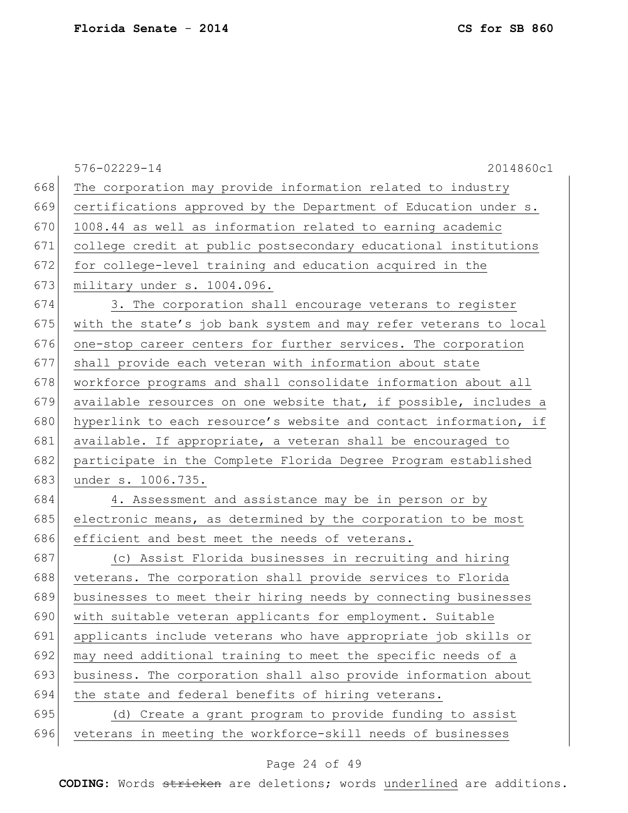|     | 576-02229-14<br>2014860c1                                        |
|-----|------------------------------------------------------------------|
| 668 | The corporation may provide information related to industry      |
| 669 | certifications approved by the Department of Education under s.  |
| 670 | 1008.44 as well as information related to earning academic       |
| 671 | college credit at public postsecondary educational institutions  |
| 672 | for college-level training and education acquired in the         |
| 673 | military under s. 1004.096.                                      |
| 674 | 3. The corporation shall encourage veterans to register          |
| 675 | with the state's job bank system and may refer veterans to local |
| 676 | one-stop career centers for further services. The corporation    |
| 677 | shall provide each veteran with information about state          |
| 678 | workforce programs and shall consolidate information about all   |
| 679 | available resources on one website that, if possible, includes a |
| 680 | hyperlink to each resource's website and contact information, if |
| 681 | available. If appropriate, a veteran shall be encouraged to      |
| 682 | participate in the Complete Florida Degree Program established   |
| 683 | under s. 1006.735.                                               |
| 684 | 4. Assessment and assistance may be in person or by              |
| 685 | electronic means, as determined by the corporation to be most    |
| 686 | efficient and best meet the needs of veterans.                   |
| 687 | (c) Assist Florida businesses in recruiting and hiring           |
| 688 | veterans. The corporation shall provide services to Florida      |
| 689 | businesses to meet their hiring needs by connecting businesses   |
| 690 | with suitable veteran applicants for employment. Suitable        |
| 691 | applicants include veterans who have appropriate job skills or   |
| 692 | may need additional training to meet the specific needs of a     |
| 693 | business. The corporation shall also provide information about   |
| 694 | the state and federal benefits of hiring veterans.               |
| 695 | (d) Create a grant program to provide funding to assist          |
| 696 | veterans in meeting the workforce-skill needs of businesses      |

# Page 24 of 49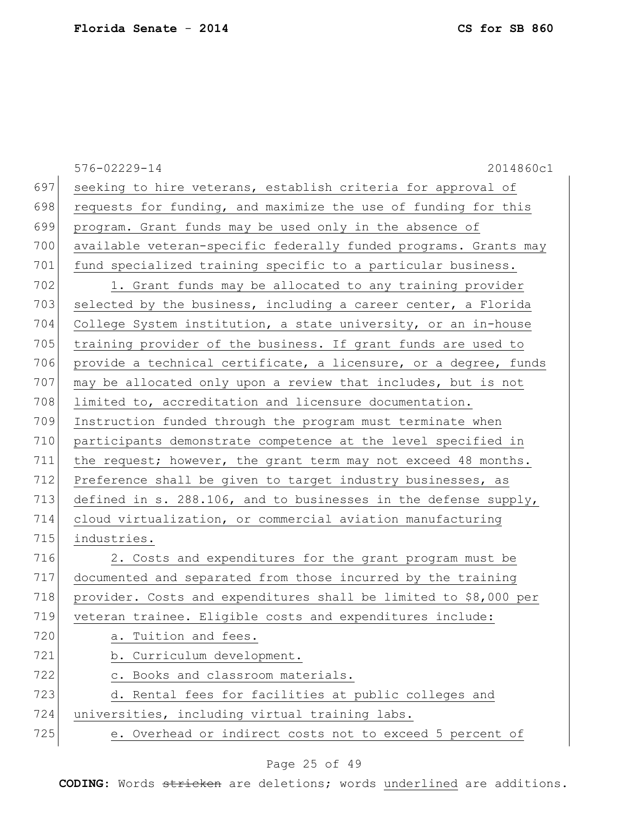576-02229-14 2014860c1 697 seeking to hire veterans, establish criteria for approval of 698 requests for funding, and maximize the use of funding for this 699 program. Grant funds may be used only in the absence of 700 available veteran-specific federally funded programs. Grants may 701 fund specialized training specific to a particular business. 702 1. Grant funds may be allocated to any training provider 703 selected by the business, including a career center, a Florida 704 College System institution, a state university, or an in-house 705 training provider of the business. If grant funds are used to 706 provide a technical certificate, a licensure, or a degree, funds 707 may be allocated only upon a review that includes, but is not 708 limited to, accreditation and licensure documentation. 709 Instruction funded through the program must terminate when 710 participants demonstrate competence at the level specified in 711 the request; however, the grant term may not exceed 48 months. 712 Preference shall be given to target industry businesses, as 713 defined in s. 288.106, and to businesses in the defense supply, 714 cloud virtualization, or commercial aviation manufacturing 715 industries. 716 2. Costs and expenditures for the grant program must be 717 documented and separated from those incurred by the training 718 provider. Costs and expenditures shall be limited to \$8,000 per 719 veteran trainee. Eligible costs and expenditures include: 720 a. Tuition and fees. 721 b. Curriculum development. 722 c. Books and classroom materials. 723 d. Rental fees for facilities at public colleges and 724 universities, including virtual training labs. 725 e. Overhead or indirect costs not to exceed 5 percent of

### Page 25 of 49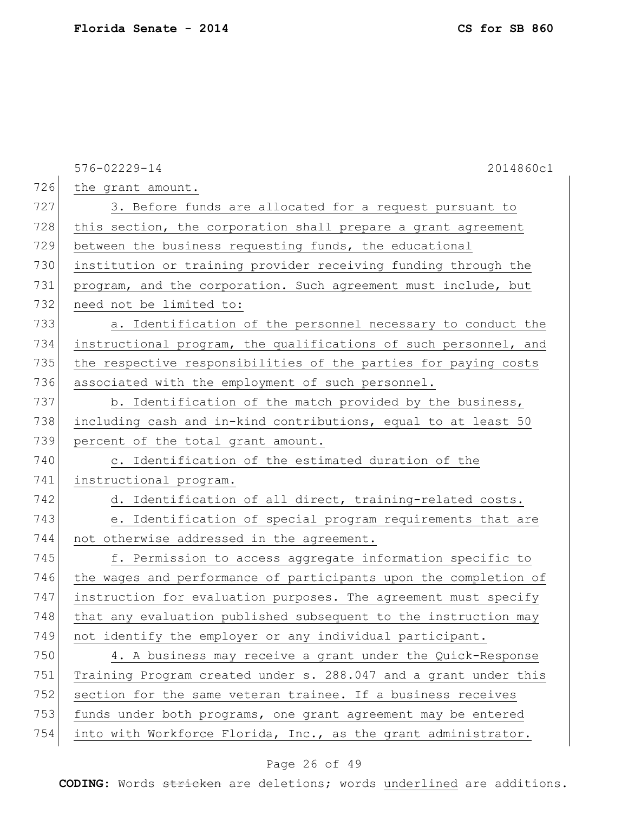|     | 2014860c1<br>$576 - 02229 - 14$                                  |
|-----|------------------------------------------------------------------|
| 726 | the grant amount.                                                |
| 727 | 3. Before funds are allocated for a request pursuant to          |
| 728 | this section, the corporation shall prepare a grant agreement    |
| 729 | between the business requesting funds, the educational           |
| 730 | institution or training provider receiving funding through the   |
| 731 | program, and the corporation. Such agreement must include, but   |
| 732 | need not be limited to:                                          |
| 733 | a. Identification of the personnel necessary to conduct the      |
| 734 | instructional program, the qualifications of such personnel, and |
| 735 | the respective responsibilities of the parties for paying costs  |
| 736 | associated with the employment of such personnel.                |
| 737 | b. Identification of the match provided by the business,         |
| 738 | including cash and in-kind contributions, equal to at least 50   |
| 739 | percent of the total grant amount.                               |
| 740 | c. Identification of the estimated duration of the               |
| 741 | instructional program.                                           |
| 742 | d. Identification of all direct, training-related costs.         |
| 743 | e. Identification of special program requirements that are       |
| 744 | not otherwise addressed in the agreement.                        |
| 745 | f. Permission to access aggregate information specific to        |
| 746 | the wages and performance of participants upon the completion of |
| 747 | instruction for evaluation purposes. The agreement must specify  |
| 748 | that any evaluation published subsequent to the instruction may  |
| 749 | not identify the employer or any individual participant.         |
| 750 | 4. A business may receive a grant under the Quick-Response       |
| 751 | Training Program created under s. 288.047 and a grant under this |
| 752 | section for the same veteran trainee. If a business receives     |
| 753 | funds under both programs, one grant agreement may be entered    |
| 754 | into with Workforce Florida, Inc., as the grant administrator.   |

# Page 26 of 49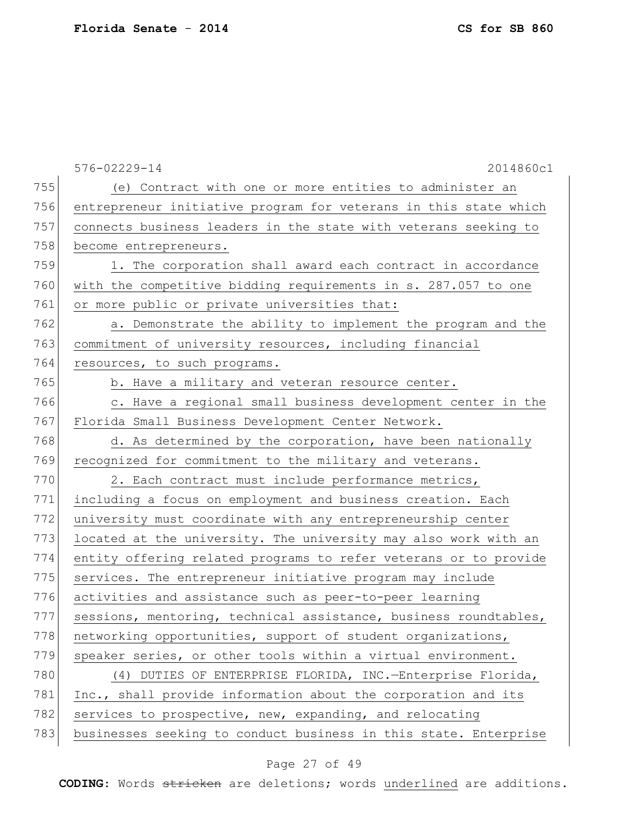576-02229-14 2014860c1 755 (e) Contract with one or more entities to administer an 756 entrepreneur initiative program for veterans in this state which 757 connects business leaders in the state with veterans seeking to 758 become entrepreneurs. 759 1. The corporation shall award each contract in accordance 760 with the competitive bidding requirements in s. 287.057 to one 761 or more public or private universities that: 762 a. Demonstrate the ability to implement the program and the 763 commitment of university resources, including financial 764 resources, to such programs. 765 b. Have a military and veteran resource center. 766 c. Have a regional small business development center in the 767 Florida Small Business Development Center Network. 768 d. As determined by the corporation, have been nationally 769 recognized for commitment to the military and veterans. 770 2. Each contract must include performance metrics, 771 including a focus on employment and business creation. Each 772 university must coordinate with any entrepreneurship center 773 located at the university. The university may also work with an 774 entity offering related programs to refer veterans or to provide 775 services. The entrepreneur initiative program may include 776 activities and assistance such as peer-to-peer learning 777 sessions, mentoring, technical assistance, business roundtables, 778 networking opportunities, support of student organizations, 779 speaker series, or other tools within a virtual environment. 780 (4) DUTIES OF ENTERPRISE FLORIDA, INC.-Enterprise Florida, 781 Inc., shall provide information about the corporation and its 782 services to prospective, new, expanding, and relocating 783 businesses seeking to conduct business in this state. Enterprise

#### Page 27 of 49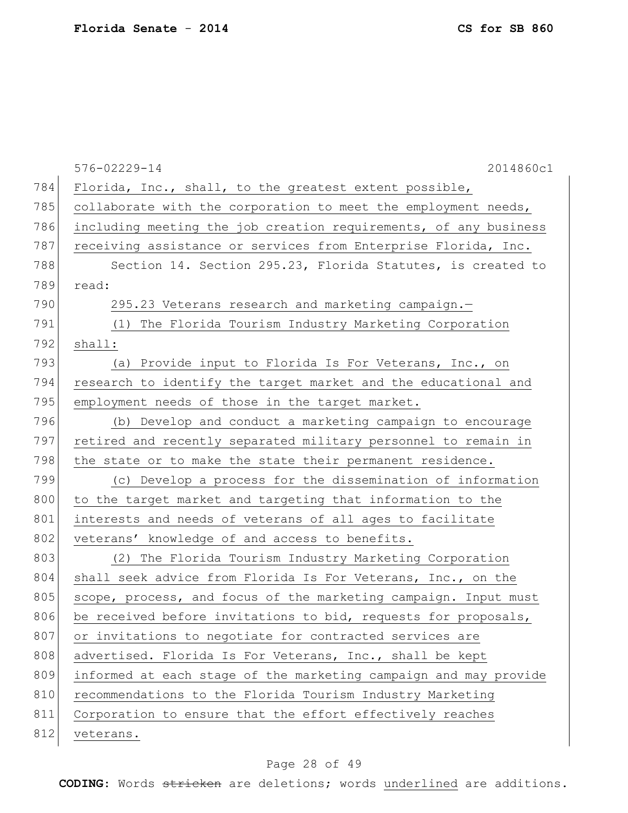|     | 576-02229-14<br>2014860c1                                        |
|-----|------------------------------------------------------------------|
| 784 | Florida, Inc., shall, to the greatest extent possible,           |
| 785 | collaborate with the corporation to meet the employment needs,   |
| 786 | including meeting the job creation requirements, of any business |
| 787 | receiving assistance or services from Enterprise Florida, Inc.   |
| 788 | Section 14. Section 295.23, Florida Statutes, is created to      |
| 789 | read:                                                            |
| 790 | 295.23 Veterans research and marketing campaign.-                |
| 791 | The Florida Tourism Industry Marketing Corporation<br>(1)        |
| 792 | shall:                                                           |
| 793 | (a) Provide input to Florida Is For Veterans, Inc., on           |
| 794 | research to identify the target market and the educational and   |
| 795 | employment needs of those in the target market.                  |
| 796 | (b) Develop and conduct a marketing campaign to encourage        |
| 797 | retired and recently separated military personnel to remain in   |
| 798 | the state or to make the state their permanent residence.        |
| 799 | (c) Develop a process for the dissemination of information       |
| 800 | to the target market and targeting that information to the       |
| 801 | interests and needs of veterans of all ages to facilitate        |
| 802 | veterans' knowledge of and access to benefits.                   |
| 803 | (2) The Florida Tourism Industry Marketing Corporation           |
| 804 | shall seek advice from Florida Is For Veterans, Inc., on the     |
| 805 | scope, process, and focus of the marketing campaign. Input must  |
| 806 | be received before invitations to bid, requests for proposals,   |
| 807 | or invitations to negotiate for contracted services are          |
| 808 | advertised. Florida Is For Veterans, Inc., shall be kept         |
| 809 | informed at each stage of the marketing campaign and may provide |
| 810 | recommendations to the Florida Tourism Industry Marketing        |
| 811 | Corporation to ensure that the effort effectively reaches        |
| 812 | veterans.                                                        |
|     |                                                                  |

# Page 28 of 49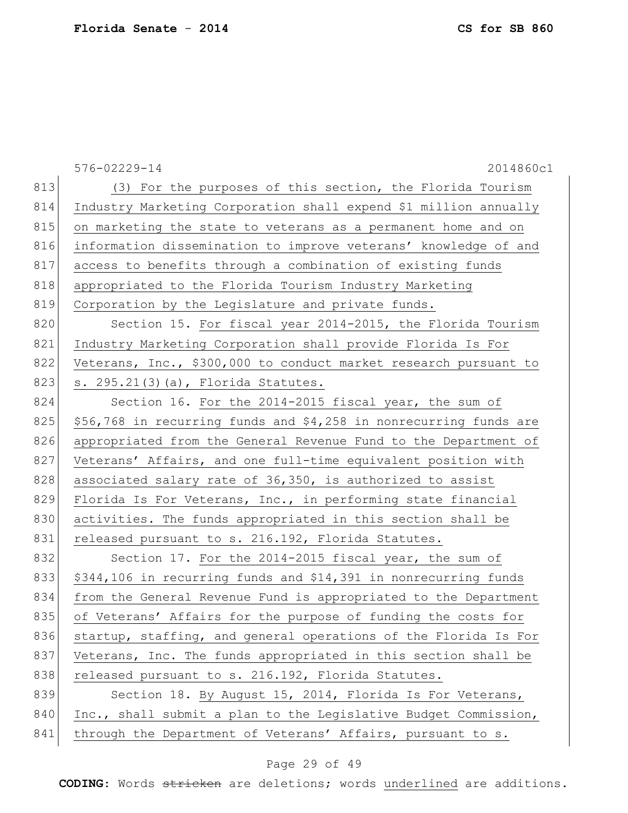|     | 576-02229-14<br>2014860c1                                         |
|-----|-------------------------------------------------------------------|
| 813 | (3) For the purposes of this section, the Florida Tourism         |
| 814 | Industry Marketing Corporation shall expend \$1 million annually  |
| 815 | on marketing the state to veterans as a permanent home and on     |
| 816 | information dissemination to improve veterans' knowledge of and   |
| 817 | access to benefits through a combination of existing funds        |
| 818 | appropriated to the Florida Tourism Industry Marketing            |
| 819 | Corporation by the Legislature and private funds.                 |
| 820 | Section 15. For fiscal year 2014-2015, the Florida Tourism        |
| 821 | Industry Marketing Corporation shall provide Florida Is For       |
| 822 | Veterans, Inc., \$300,000 to conduct market research pursuant to  |
| 823 | s. 295.21(3)(a), Florida Statutes.                                |
| 824 | Section 16. For the 2014-2015 fiscal year, the sum of             |
| 825 | \$56,768 in recurring funds and \$4,258 in nonrecurring funds are |
| 826 | appropriated from the General Revenue Fund to the Department of   |
| 827 | Veterans' Affairs, and one full-time equivalent position with     |
| 828 | associated salary rate of 36,350, is authorized to assist         |
| 829 | Florida Is For Veterans, Inc., in performing state financial      |
| 830 | activities. The funds appropriated in this section shall be       |
| 831 | released pursuant to s. 216.192, Florida Statutes.                |
| 832 | Section 17. For the 2014-2015 fiscal year, the sum of             |
| 833 | \$344,106 in recurring funds and \$14,391 in nonrecurring funds   |
| 834 | from the General Revenue Fund is appropriated to the Department   |
| 835 | of Veterans' Affairs for the purpose of funding the costs for     |
| 836 | startup, staffing, and general operations of the Florida Is For   |
| 837 | Veterans, Inc. The funds appropriated in this section shall be    |
| 838 | released pursuant to s. 216.192, Florida Statutes.                |
| 839 | Section 18. By August 15, 2014, Florida Is For Veterans,          |
| 840 | Inc., shall submit a plan to the Legislative Budget Commission,   |
| 841 | through the Department of Veterans' Affairs, pursuant to s.       |

# Page 29 of 49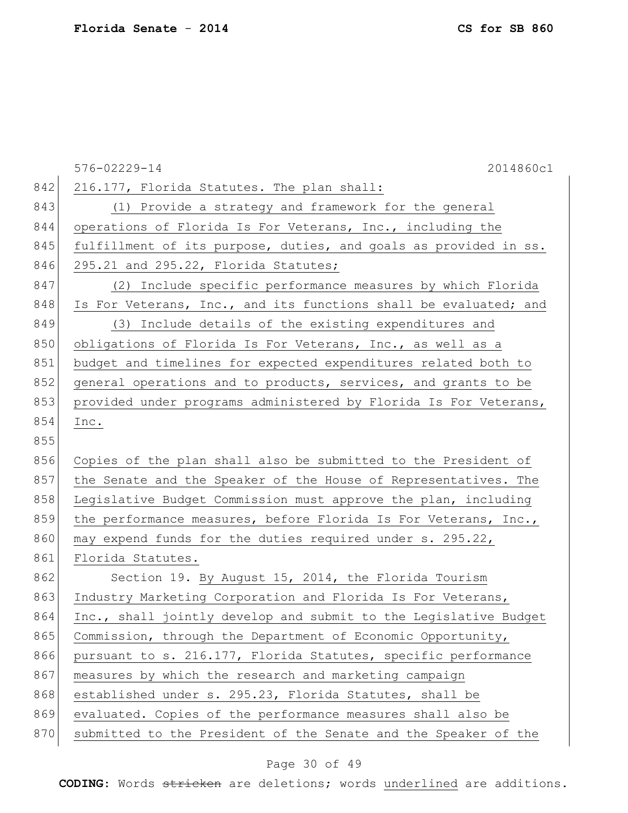|     | 2014860c1<br>$576 - 02229 - 14$                                  |
|-----|------------------------------------------------------------------|
| 842 | 216.177, Florida Statutes. The plan shall:                       |
| 843 | (1) Provide a strategy and framework for the general             |
| 844 | operations of Florida Is For Veterans, Inc., including the       |
| 845 | fulfillment of its purpose, duties, and goals as provided in ss. |
| 846 | 295.21 and 295.22, Florida Statutes;                             |
| 847 | (2) Include specific performance measures by which Florida       |
| 848 | Is For Veterans, Inc., and its functions shall be evaluated; and |
| 849 | (3) Include details of the existing expenditures and             |
| 850 | obligations of Florida Is For Veterans, Inc., as well as a       |
| 851 | budget and timelines for expected expenditures related both to   |
| 852 | general operations and to products, services, and grants to be   |
| 853 | provided under programs administered by Florida Is For Veterans, |
| 854 | Inc.                                                             |
| 855 |                                                                  |
| 856 | Copies of the plan shall also be submitted to the President of   |
| 857 | the Senate and the Speaker of the House of Representatives. The  |
| 858 | Legislative Budget Commission must approve the plan, including   |
| 859 | the performance measures, before Florida Is For Veterans, Inc.,  |
| 860 | may expend funds for the duties required under s. 295.22,        |
| 861 | Florida Statutes.                                                |
| 862 | Section 19. By August 15, 2014, the Florida Tourism              |
| 863 | Industry Marketing Corporation and Florida Is For Veterans,      |
| 864 | Inc., shall jointly develop and submit to the Legislative Budget |
| 865 | Commission, through the Department of Economic Opportunity,      |
| 866 | pursuant to s. 216.177, Florida Statutes, specific performance   |
| 867 | measures by which the research and marketing campaign            |
| 868 | established under s. 295.23, Florida Statutes, shall be          |
| 869 | evaluated. Copies of the performance measures shall also be      |
| 870 | submitted to the President of the Senate and the Speaker of the  |

# Page 30 of 49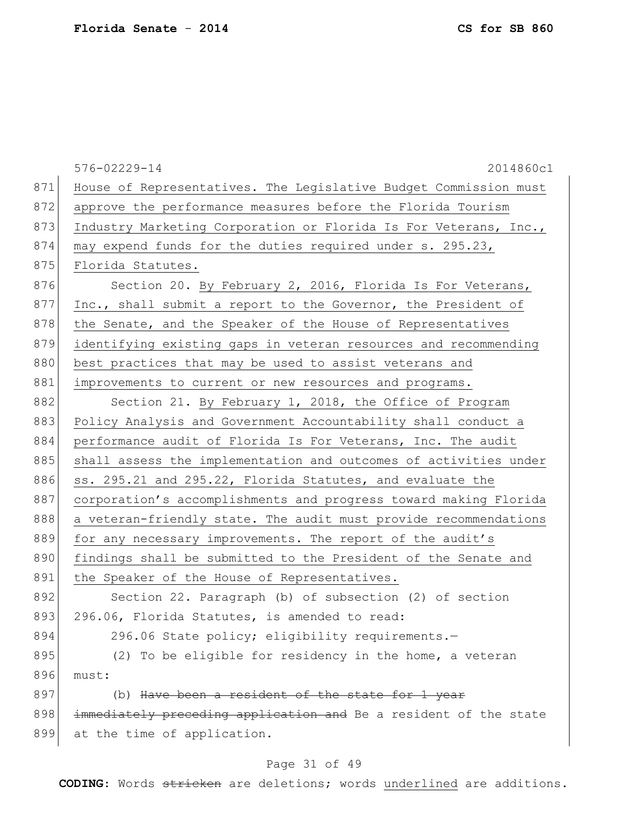|     | 576-02229-14<br>2014860c1                                        |
|-----|------------------------------------------------------------------|
| 871 | House of Representatives. The Legislative Budget Commission must |
| 872 | approve the performance measures before the Florida Tourism      |
| 873 | Industry Marketing Corporation or Florida Is For Veterans, Inc., |
| 874 | may expend funds for the duties required under s. 295.23,        |
| 875 | Florida Statutes.                                                |
| 876 | Section 20. By February 2, 2016, Florida Is For Veterans,        |
| 877 | Inc., shall submit a report to the Governor, the President of    |
| 878 | the Senate, and the Speaker of the House of Representatives      |
| 879 | identifying existing gaps in veteran resources and recommending  |
| 880 | best practices that may be used to assist veterans and           |
| 881 | improvements to current or new resources and programs.           |
| 882 | Section 21. By February 1, 2018, the Office of Program           |
| 883 | Policy Analysis and Government Accountability shall conduct a    |
| 884 | performance audit of Florida Is For Veterans, Inc. The audit     |
| 885 | shall assess the implementation and outcomes of activities under |
| 886 | ss. 295.21 and 295.22, Florida Statutes, and evaluate the        |
| 887 | corporation's accomplishments and progress toward making Florida |
| 888 | a veteran-friendly state. The audit must provide recommendations |
| 889 | for any necessary improvements. The report of the audit's        |
| 890 | findings shall be submitted to the President of the Senate and   |
| 891 | the Speaker of the House of Representatives.                     |
| 892 | Section 22. Paragraph (b) of subsection (2) of section           |
| 893 | 296.06, Florida Statutes, is amended to read:                    |
| 894 | 296.06 State policy; eligibility requirements.-                  |
| 895 | (2) To be eligible for residency in the home, a veteran          |
| 896 | must:                                                            |
| 897 | (b) Have been a resident of the state for 1 year                 |
| 898 | immediately preceding application and Be a resident of the state |
| 899 | at the time of application.                                      |
|     |                                                                  |

## Page 31 of 49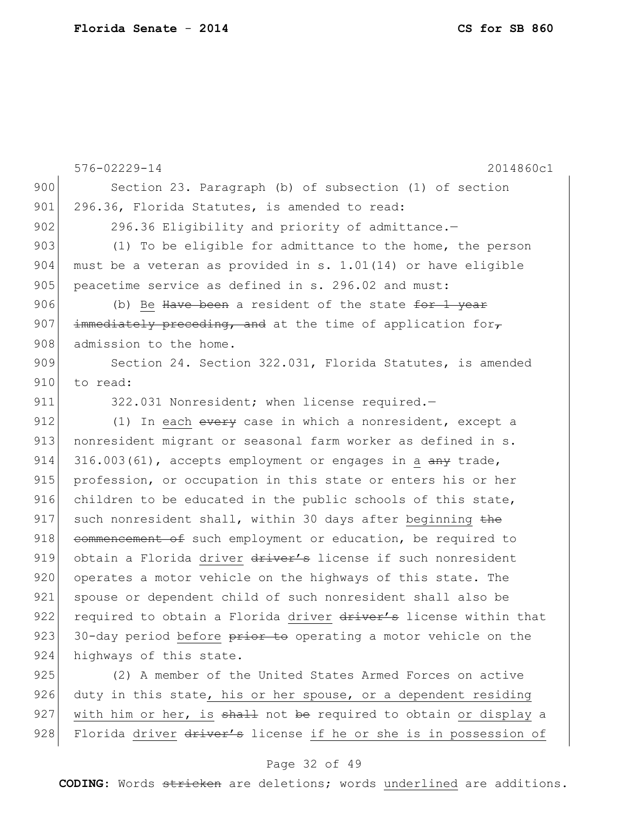910 to read:

576-02229-14 2014860c1 900 Section 23. Paragraph (b) of subsection (1) of section 901 296.36, Florida Statutes, is amended to read: 902 296.36 Eligibility and priority of admittance.-903 (1) To be eligible for admittance to the home, the person 904 must be a veteran as provided in s. 1.01(14) or have eligible 905 peacetime service as defined in s. 296.02 and must: 906 (b) Be Have been a resident of the state  $for 1 year$ 907 immediately preceding, and at the time of application for, 908 admission to the home. 909 Section 24. Section 322.031, Florida Statutes, is amended 911 322.031 Nonresident; when license required.-912  $(1)$  In each every case in which a nonresident, except a

913 nonresident migrant or seasonal farm worker as defined in s. 914 316.003(61), accepts employment or engages in a  $\frac{any}{any}$  trade, 915 profession, or occupation in this state or enters his or her 916 children to be educated in the public schools of this state, 917 such nonresident shall, within 30 days after beginning  $the$ 918 commencement of such employment or education, be required to 919 obtain a Florida driver driver's license if such nonresident 920 operates a motor vehicle on the highways of this state. The 921 spouse or dependent child of such nonresident shall also be 922 required to obtain a Florida driver driver's license within that 923 30-day period before prior to operating a motor vehicle on the 924 highways of this state.

925 (2) A member of the United States Armed Forces on active 926 duty in this state, his or her spouse, or a dependent residing 927 with him or her, is  $shall$  not be required to obtain or display a 928 Florida driver driver's license if he or she is in possession of

### Page 32 of 49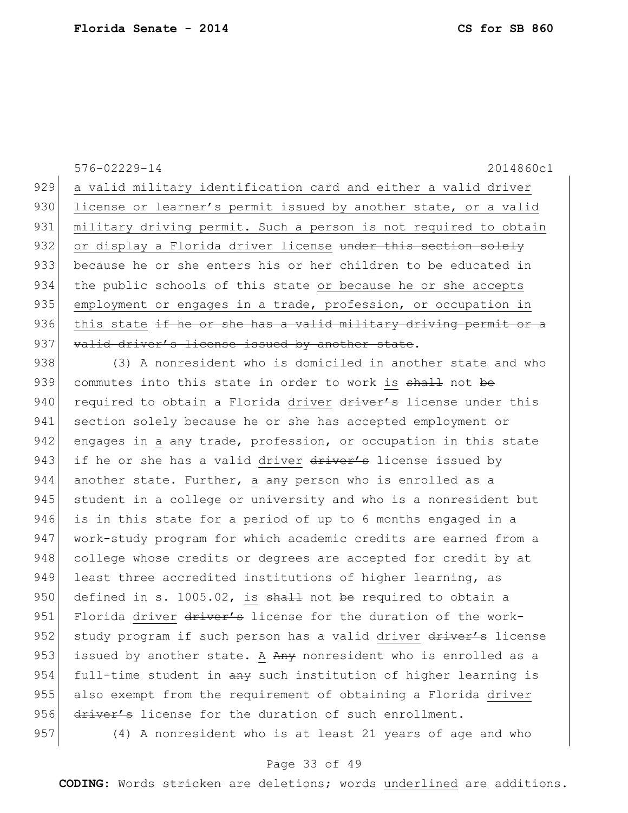576-02229-14 2014860c1 929 a valid military identification card and either a valid driver 930 license or learner's permit issued by another state, or a valid 931 military driving permit. Such a person is not required to obtain 932 or display a Florida driver license under this section solely 933 because he or she enters his or her children to be educated in 934 the public schools of this state or because he or she accepts 935 employment or engages in a trade, profession, or occupation in 936 this state  $\pm f$  he or she has a valid military driving permit or a 937 valid driver's license issued by another state.

938 (3) A nonresident who is domiciled in another state and who 939 commutes into this state in order to work is shall not be 940 required to obtain a Florida driver driver's license under this 941 section solely because he or she has accepted employment or 942 engages in a any trade, profession, or occupation in this state 943 if he or she has a valid driver  $\frac{d}{dx}$  driver's license issued by 944 another state. Further, a  $\frac{a}{b}$  person who is enrolled as a 945 student in a college or university and who is a nonresident but 946 is in this state for a period of up to 6 months engaged in a 947 work-study program for which academic credits are earned from a 948 college whose credits or degrees are accepted for credit by at 949 least three accredited institutions of higher learning, as 950 defined in s. 1005.02, is  $shath$  not be required to obtain a 951 Florida driver  $\frac{d}{dx}$  driver  $\frac{d}{dx}$  and the duration of the work-952 study program if such person has a valid driver driver's license 953 issued by another state. A  $A_{\text{H}}$  nonresident who is enrolled as a 954 full-time student in any such institution of higher learning is 955 also exempt from the requirement of obtaining a Florida driver 956 driver's license for the duration of such enrollment.

957 (4) A nonresident who is at least 21 years of age and who

## Page 33 of 49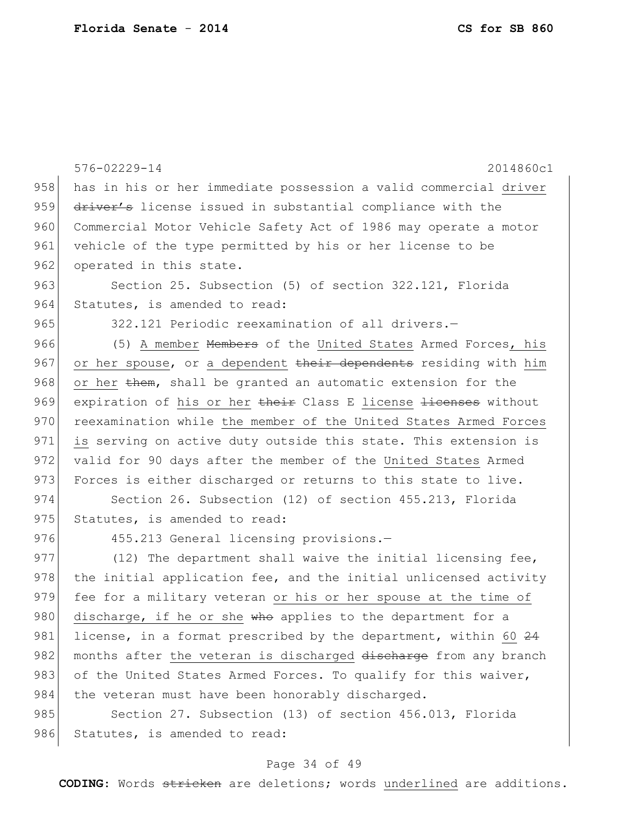|     | 576-02229-14<br>2014860c1                                                  |
|-----|----------------------------------------------------------------------------|
| 958 | has in his or her immediate possession a valid commercial driver           |
| 959 | driver's license issued in substantial compliance with the                 |
| 960 | Commercial Motor Vehicle Safety Act of 1986 may operate a motor            |
| 961 | vehicle of the type permitted by his or her license to be                  |
| 962 | operated in this state.                                                    |
| 963 | Section 25. Subsection (5) of section 322.121, Florida                     |
| 964 | Statutes, is amended to read:                                              |
| 965 | 322.121 Periodic reexamination of all drivers.-                            |
| 966 | (5) A member Members of the United States Armed Forces, his                |
| 967 | or her spouse, or a dependent their dependents residing with him           |
| 968 | or her them, shall be granted an automatic extension for the               |
| 969 | expiration of his or her their Class E license <del>licenses</del> without |
| 970 | reexamination while the member of the United States Armed Forces           |
| 971 | is serving on active duty outside this state. This extension is            |
| 972 | valid for 90 days after the member of the United States Armed              |
| 973 | Forces is either discharged or returns to this state to live.              |
| 974 | Section 26. Subsection (12) of section 455.213, Florida                    |
| 975 | Statutes, is amended to read:                                              |
| 976 | 455.213 General licensing provisions.-                                     |
| 977 | (12) The department shall waive the initial licensing fee,                 |
| 978 | the initial application fee, and the initial unlicensed activity           |
| 979 | fee for a military veteran or his or her spouse at the time of             |
| 980 | discharge, if he or she who applies to the department for a                |
| 981 | license, in a format prescribed by the department, within 60 24            |
| 982 | months after the veteran is discharged discharge from any branch           |
| 983 | of the United States Armed Forces. To qualify for this waiver,             |
| 984 | the veteran must have been honorably discharged.                           |
| 985 | Section 27. Subsection (13) of section 456.013, Florida                    |
| 986 | Statutes, is amended to read:                                              |
|     |                                                                            |

# Page 34 of 49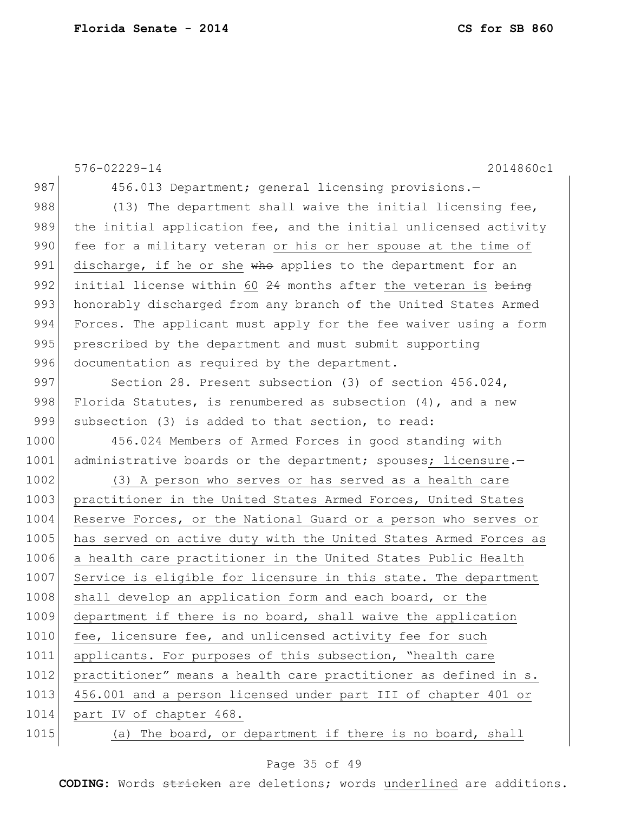576-02229-14 2014860c1 987 456.013 Department; general licensing provisions.-988  $(13)$  The department shall waive the initial licensing fee, 989 the initial application fee, and the initial unlicensed activity 990 fee for a military veteran or his or her spouse at the time of 991 discharge, if he or she who applies to the department for an 992 initial license within 60  $24$  months after the veteran is being 993 honorably discharged from any branch of the United States Armed 994 Forces. The applicant must apply for the fee waiver using a form 995 prescribed by the department and must submit supporting 996 documentation as required by the department. 997 Section 28. Present subsection (3) of section 456.024, 998 Florida Statutes, is renumbered as subsection  $(4)$ , and a new 999 subsection (3) is added to that section, to read: 1000 456.024 Members of Armed Forces in good standing with 1001 administrative boards or the department; spouses; licensure. 1002 (3) A person who serves or has served as a health care 1003 practitioner in the United States Armed Forces, United States 1004 Reserve Forces, or the National Guard or a person who serves or 1005 has served on active duty with the United States Armed Forces as 1006 a health care practitioner in the United States Public Health 1007 Service is eligible for licensure in this state. The department 1008 shall develop an application form and each board, or the 1009 department if there is no board, shall waive the application 1010 fee, licensure fee, and unlicensed activity fee for such 1011 applicants. For purposes of this subsection, "health care 1012 practitioner" means a health care practitioner as defined in s. 1013 456.001 and a person licensed under part III of chapter 401 or 1014 part IV of chapter 468. 1015 (a) The board, or department if there is no board, shall

#### Page 35 of 49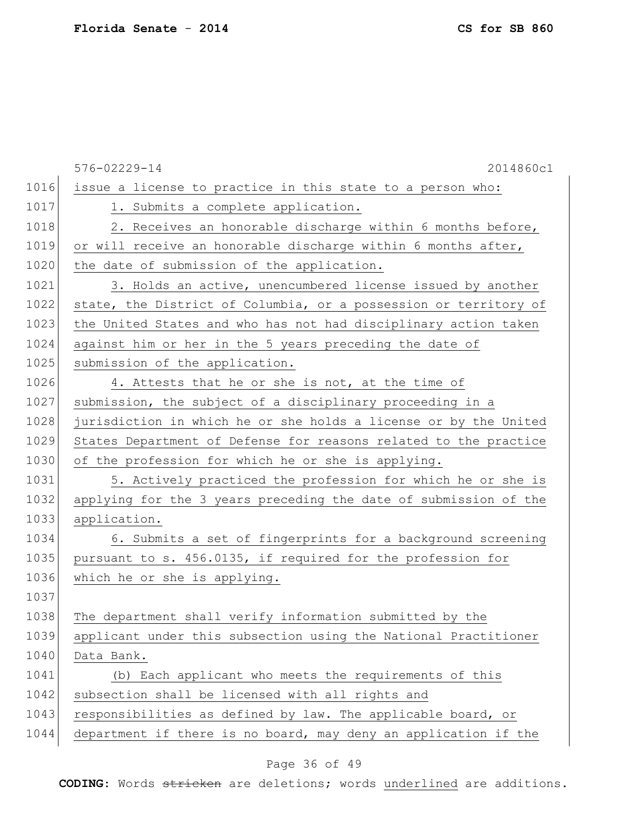|      | $576 - 02229 - 14$<br>2014860c1                                  |
|------|------------------------------------------------------------------|
| 1016 | issue a license to practice in this state to a person who:       |
| 1017 | 1. Submits a complete application.                               |
| 1018 | 2. Receives an honorable discharge within 6 months before,       |
| 1019 | or will receive an honorable discharge within 6 months after,    |
| 1020 | the date of submission of the application.                       |
| 1021 | 3. Holds an active, unencumbered license issued by another       |
| 1022 | state, the District of Columbia, or a possession or territory of |
| 1023 | the United States and who has not had disciplinary action taken  |
| 1024 | against him or her in the 5 years preceding the date of          |
| 1025 | submission of the application.                                   |
| 1026 | 4. Attests that he or she is not, at the time of                 |
| 1027 | submission, the subject of a disciplinary proceeding in a        |
| 1028 | jurisdiction in which he or she holds a license or by the United |
| 1029 | States Department of Defense for reasons related to the practice |
| 1030 | of the profession for which he or she is applying.               |
| 1031 | 5. Actively practiced the profession for which he or she is      |
| 1032 | applying for the 3 years preceding the date of submission of the |
| 1033 | application.                                                     |
| 1034 | 6. Submits a set of fingerprints for a background screening      |
| 1035 | pursuant to s. 456.0135, if required for the profession for      |
| 1036 | which he or she is applying.                                     |
| 1037 |                                                                  |
| 1038 | The department shall verify information submitted by the         |
| 1039 | applicant under this subsection using the National Practitioner  |
| 1040 | Data Bank.                                                       |
| 1041 | (b) Each applicant who meets the requirements of this            |
| 1042 | subsection shall be licensed with all rights and                 |
| 1043 | responsibilities as defined by law. The applicable board, or     |
| 1044 | department if there is no board, may deny an application if the  |

# Page 36 of 49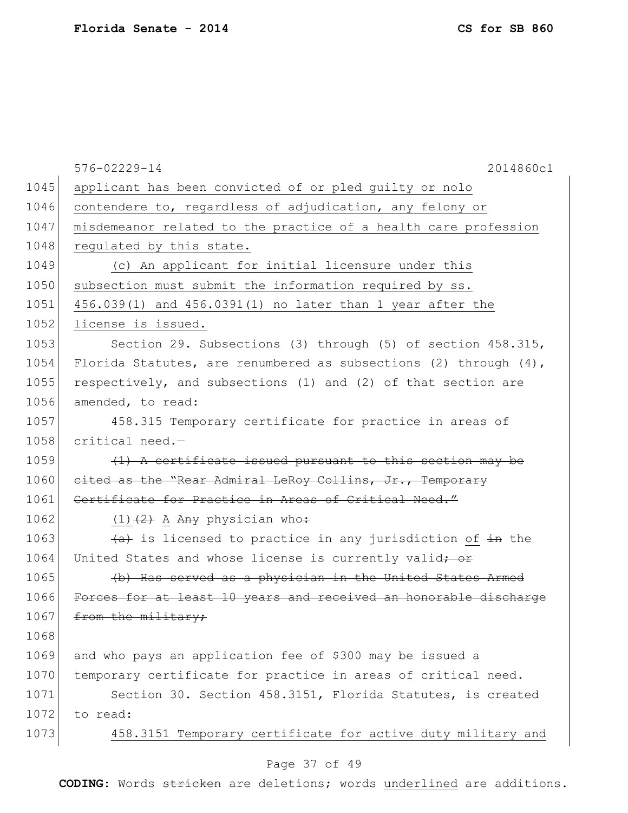|      | 576-02229-14<br>2014860c1                                           |
|------|---------------------------------------------------------------------|
| 1045 | applicant has been convicted of or pled guilty or nolo              |
| 1046 | contendere to, regardless of adjudication, any felony or            |
| 1047 | misdemeanor related to the practice of a health care profession     |
| 1048 | regulated by this state.                                            |
| 1049 | (c) An applicant for initial licensure under this                   |
| 1050 | subsection must submit the information required by ss.              |
| 1051 | 456.039(1) and 456.0391(1) no later than 1 year after the           |
| 1052 | license is issued.                                                  |
| 1053 | Section 29. Subsections (3) through (5) of section 458.315,         |
| 1054 | Florida Statutes, are renumbered as subsections (2) through $(4)$ , |
| 1055 | respectively, and subsections (1) and (2) of that section are       |
| 1056 | amended, to read:                                                   |
| 1057 | 458.315 Temporary certificate for practice in areas of              |
| 1058 | critical need.-                                                     |
| 1059 | (1) A certificate issued pursuant to this section may be            |
| 1060 | eited as the "Rear Admiral LeRoy Collins, Jr., Temporary            |
| 1061 | Certificate for Practice in Areas of Critical Need."                |
| 1062 | $(1)$ $(2)$ A $\rightarrow$ Physician who:                          |
| 1063 | (a) is licensed to practice in any jurisdiction of in the           |
| 1064 | United States and whose license is currently valid+ or              |
| 1065 | (b) Has served as a physician in the United States Armed            |
| 1066 | Forces for at least 10 years and received an honorable discharge    |
| 1067 | from the military;                                                  |
| 1068 |                                                                     |
| 1069 | and who pays an application fee of \$300 may be issued a            |
| 1070 | temporary certificate for practice in areas of critical need.       |
| 1071 | Section 30. Section 458.3151, Florida Statutes, is created          |
| 1072 | to read:                                                            |
| 1073 | 458.3151 Temporary certificate for active duty military and         |

# Page 37 of 49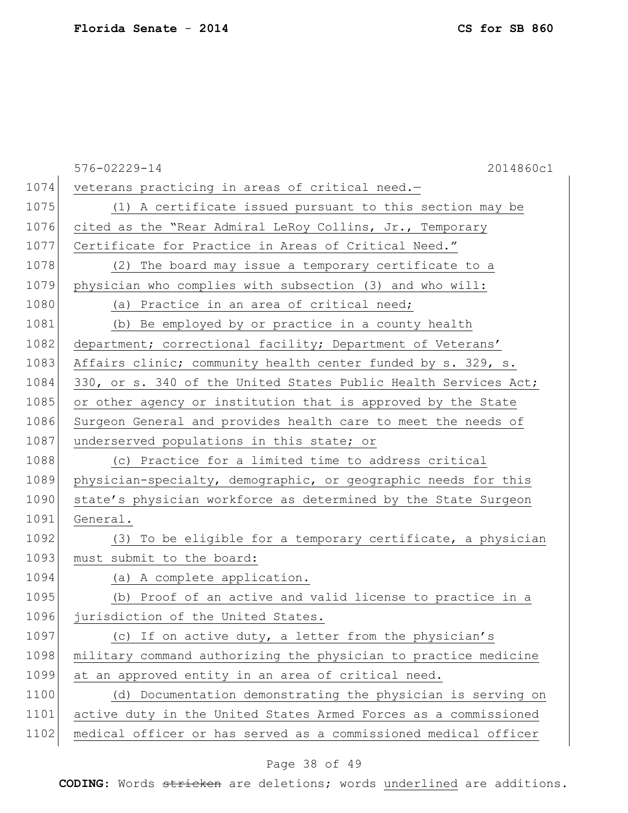|      | 576-02229-14<br>2014860c1                                       |
|------|-----------------------------------------------------------------|
| 1074 | veterans practicing in areas of critical need.-                 |
| 1075 | (1) A certificate issued pursuant to this section may be        |
| 1076 | cited as the "Rear Admiral LeRoy Collins, Jr., Temporary        |
| 1077 | Certificate for Practice in Areas of Critical Need."            |
| 1078 | The board may issue a temporary certificate to a<br>(2)         |
| 1079 | physician who complies with subsection (3) and who will:        |
| 1080 | (a) Practice in an area of critical need;                       |
| 1081 | (b) Be employed by or practice in a county health               |
| 1082 | department; correctional facility; Department of Veterans'      |
| 1083 | Affairs clinic; community health center funded by s. 329, s.    |
| 1084 | 330, or s. 340 of the United States Public Health Services Act; |
| 1085 | or other agency or institution that is approved by the State    |
| 1086 | Surgeon General and provides health care to meet the needs of   |
| 1087 | underserved populations in this state; or                       |
| 1088 | (c) Practice for a limited time to address critical             |
| 1089 | physician-specialty, demographic, or geographic needs for this  |
| 1090 | state's physician workforce as determined by the State Surgeon  |
| 1091 | General.                                                        |
| 1092 | (3) To be eligible for a temporary certificate, a physician     |
| 1093 | must submit to the board:                                       |
| 1094 | (a) A complete application.                                     |
| 1095 | (b) Proof of an active and valid license to practice in a       |
| 1096 | jurisdiction of the United States.                              |
| 1097 | (c) If on active duty, a letter from the physician's            |
| 1098 | military command authorizing the physician to practice medicine |
| 1099 | at an approved entity in an area of critical need.              |
| 1100 | (d) Documentation demonstrating the physician is serving on     |
| 1101 | active duty in the United States Armed Forces as a commissioned |
| 1102 | medical officer or has served as a commissioned medical officer |

# Page 38 of 49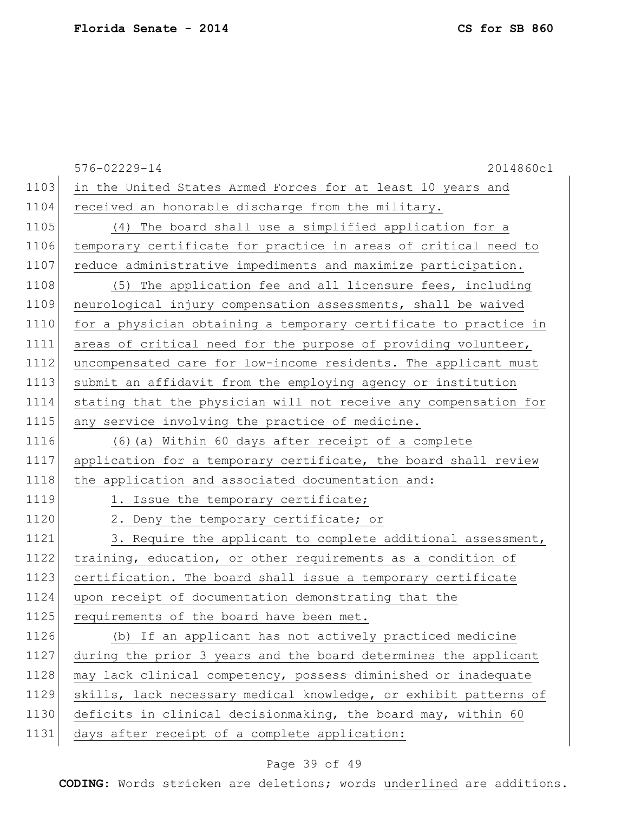|      | 576-02229-14<br>2014860c1                                        |
|------|------------------------------------------------------------------|
| 1103 | in the United States Armed Forces for at least 10 years and      |
| 1104 | received an honorable discharge from the military.               |
| 1105 | (4) The board shall use a simplified application for a           |
| 1106 | temporary certificate for practice in areas of critical need to  |
| 1107 | reduce administrative impediments and maximize participation.    |
| 1108 | (5) The application fee and all licensure fees, including        |
| 1109 | neurological injury compensation assessments, shall be waived    |
| 1110 | for a physician obtaining a temporary certificate to practice in |
| 1111 | areas of critical need for the purpose of providing volunteer,   |
| 1112 | uncompensated care for low-income residents. The applicant must  |
| 1113 | submit an affidavit from the employing agency or institution     |
| 1114 | stating that the physician will not receive any compensation for |
| 1115 | any service involving the practice of medicine.                  |
| 1116 | (6) (a) Within 60 days after receipt of a complete               |
| 1117 | application for a temporary certificate, the board shall review  |
| 1118 | the application and associated documentation and:                |
| 1119 | 1. Issue the temporary certificate;                              |
| 1120 | 2. Deny the temporary certificate; or                            |
| 1121 | 3. Require the applicant to complete additional assessment,      |
| 1122 | training, education, or other requirements as a condition of     |
| 1123 | certification. The board shall issue a temporary certificate     |
| 1124 | upon receipt of documentation demonstrating that the             |
| 1125 | requirements of the board have been met.                         |
| 1126 | (b) If an applicant has not actively practiced medicine          |
| 1127 | during the prior 3 years and the board determines the applicant  |
| 1128 | may lack clinical competency, possess diminished or inadequate   |
| 1129 | skills, lack necessary medical knowledge, or exhibit patterns of |
| 1130 | deficits in clinical decisionmaking, the board may, within 60    |
| 1131 | days after receipt of a complete application:                    |

# Page 39 of 49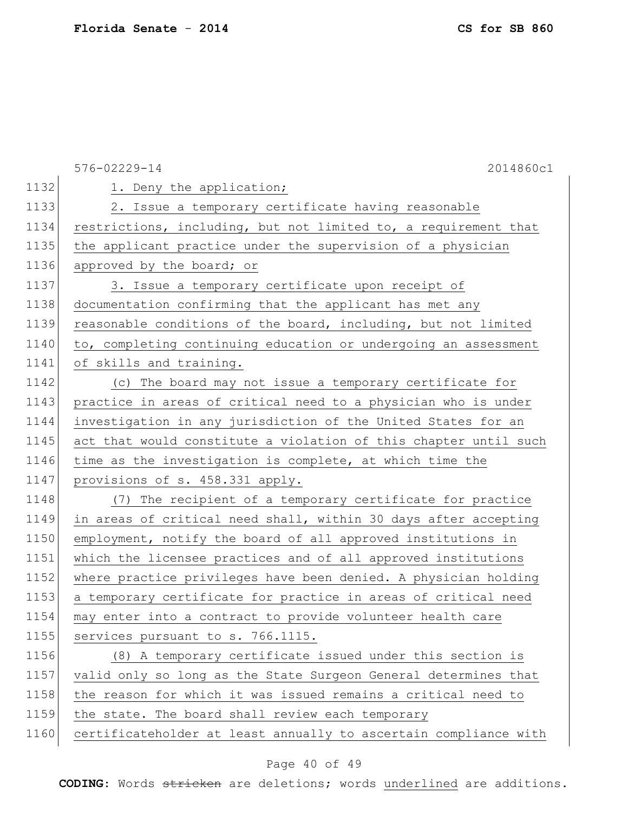|      | 576-02229-14<br>2014860c1                                        |
|------|------------------------------------------------------------------|
| 1132 | 1. Deny the application;                                         |
| 1133 | 2. Issue a temporary certificate having reasonable               |
| 1134 | restrictions, including, but not limited to, a requirement that  |
| 1135 | the applicant practice under the supervision of a physician      |
| 1136 | approved by the board; or                                        |
| 1137 | 3. Issue a temporary certificate upon receipt of                 |
| 1138 | documentation confirming that the applicant has met any          |
| 1139 | reasonable conditions of the board, including, but not limited   |
| 1140 | to, completing continuing education or undergoing an assessment  |
| 1141 | of skills and training.                                          |
| 1142 | (c) The board may not issue a temporary certificate for          |
| 1143 | practice in areas of critical need to a physician who is under   |
| 1144 | investigation in any jurisdiction of the United States for an    |
| 1145 | act that would constitute a violation of this chapter until such |
| 1146 | time as the investigation is complete, at which time the         |
| 1147 | provisions of s. 458.331 apply.                                  |
| 1148 | (7) The recipient of a temporary certificate for practice        |
| 1149 | in areas of critical need shall, within 30 days after accepting  |
| 1150 | employment, notify the board of all approved institutions in     |
| 1151 | which the licensee practices and of all approved institutions    |
| 1152 | where practice privileges have been denied. A physician holding  |
| 1153 | a temporary certificate for practice in areas of critical need   |
| 1154 | may enter into a contract to provide volunteer health care       |
| 1155 | services pursuant to s. 766.1115.                                |
| 1156 | (8) A temporary certificate issued under this section is         |
| 1157 | valid only so long as the State Surgeon General determines that  |
| 1158 | the reason for which it was issued remains a critical need to    |
| 1159 | the state. The board shall review each temporary                 |
| 1160 | certificateholder at least annually to ascertain compliance with |
|      |                                                                  |

# Page 40 of 49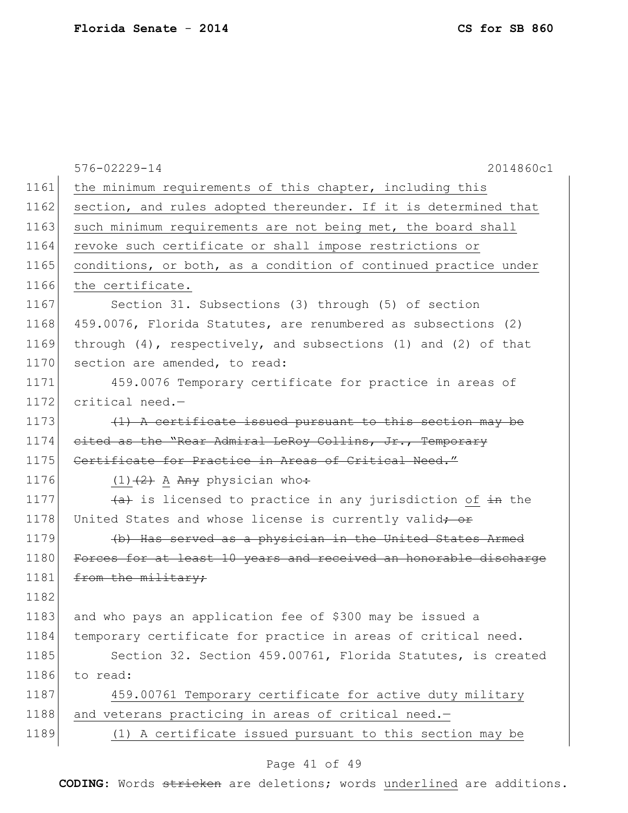|      | 576-02229-14<br>2014860c1                                        |
|------|------------------------------------------------------------------|
| 1161 | the minimum requirements of this chapter, including this         |
| 1162 | section, and rules adopted thereunder. If it is determined that  |
| 1163 | such minimum requirements are not being met, the board shall     |
| 1164 | revoke such certificate or shall impose restrictions or          |
| 1165 | conditions, or both, as a condition of continued practice under  |
| 1166 | the certificate.                                                 |
| 1167 | Section 31. Subsections (3) through (5) of section               |
| 1168 | 459.0076, Florida Statutes, are renumbered as subsections (2)    |
| 1169 | through (4), respectively, and subsections (1) and (2) of that   |
| 1170 | section are amended, to read:                                    |
| 1171 | 459.0076 Temporary certificate for practice in areas of          |
| 1172 | critical need.-                                                  |
| 1173 | (1) A certificate issued pursuant to this section may be         |
| 1174 | eited as the "Rear Admiral LeRoy Collins, Jr., Temporary         |
| 1175 | Certificate for Practice in Areas of Critical Need."             |
| 1176 | $(1)$ $(2)$ A Any physician who:                                 |
| 1177 | (a) is licensed to practice in any jurisdiction of in the        |
| 1178 | United States and whose license is currently valid+ or           |
| 1179 | (b) Has served as a physician in the United States Armed         |
| 1180 | Forces for at least 10 years and received an honorable discharge |
| 1181 | from the military;                                               |
| 1182 |                                                                  |
| 1183 | and who pays an application fee of \$300 may be issued a         |
| 1184 | temporary certificate for practice in areas of critical need.    |
| 1185 | Section 32. Section 459.00761, Florida Statutes, is created      |
| 1186 | to read:                                                         |
| 1187 | 459.00761 Temporary certificate for active duty military         |
| 1188 | and veterans practicing in areas of critical need.-              |
| 1189 | (1) A certificate issued pursuant to this section may be         |
|      |                                                                  |

# Page 41 of 49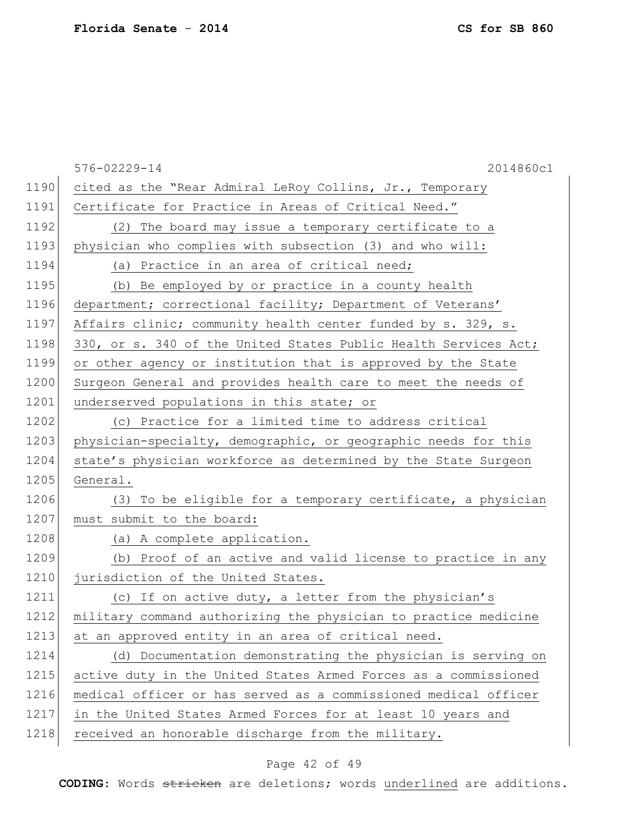|      | 576-02229-14<br>2014860c1                                       |
|------|-----------------------------------------------------------------|
| 1190 | cited as the "Rear Admiral LeRoy Collins, Jr., Temporary        |
| 1191 | Certificate for Practice in Areas of Critical Need."            |
| 1192 | (2) The board may issue a temporary certificate to a            |
| 1193 | physician who complies with subsection (3) and who will:        |
| 1194 | (a) Practice in an area of critical need;                       |
| 1195 | (b) Be employed by or practice in a county health               |
| 1196 | department; correctional facility; Department of Veterans'      |
| 1197 | Affairs clinic; community health center funded by s. 329, s.    |
| 1198 | 330, or s. 340 of the United States Public Health Services Act; |
| 1199 | or other agency or institution that is approved by the State    |
| 1200 | Surgeon General and provides health care to meet the needs of   |
| 1201 | underserved populations in this state; or                       |
| 1202 | (c) Practice for a limited time to address critical             |
| 1203 | physician-specialty, demographic, or geographic needs for this  |
| 1204 | state's physician workforce as determined by the State Surgeon  |
| 1205 | General.                                                        |
| 1206 | To be eligible for a temporary certificate, a physician<br>(3)  |
| 1207 | must submit to the board:                                       |
| 1208 | (a) A complete application.                                     |
| 1209 | (b) Proof of an active and valid license to practice in any     |
| 1210 | jurisdiction of the United States.                              |
| 1211 | (c) If on active duty, a letter from the physician's            |
| 1212 | military command authorizing the physician to practice medicine |
| 1213 | at an approved entity in an area of critical need.              |
| 1214 | (d) Documentation demonstrating the physician is serving on     |
| 1215 | active duty in the United States Armed Forces as a commissioned |
| 1216 | medical officer or has served as a commissioned medical officer |
| 1217 | in the United States Armed Forces for at least 10 years and     |
| 1218 | received an honorable discharge from the military.              |

# Page 42 of 49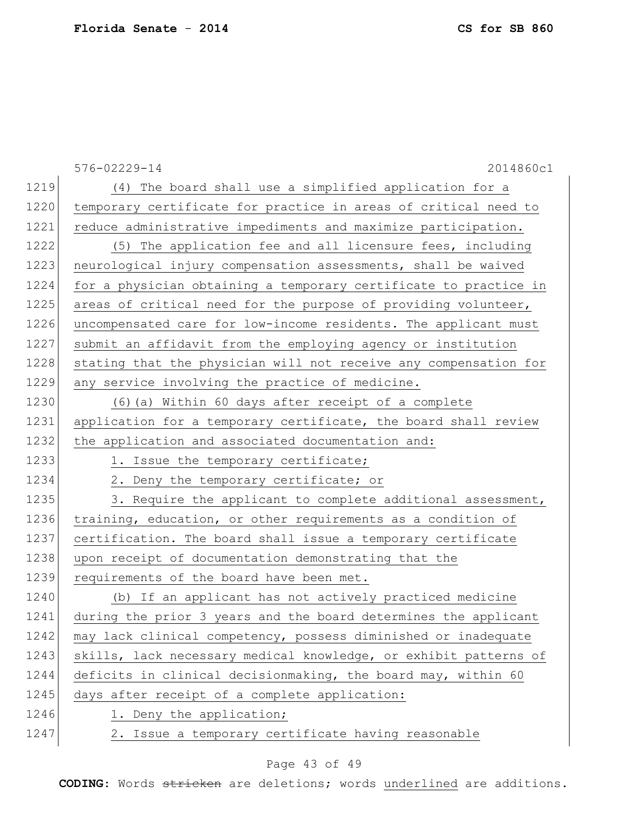576-02229-14 2014860c1 1219 (4) The board shall use a simplified application for a 1220 temporary certificate for practice in areas of critical need to 1221 reduce administrative impediments and maximize participation. 1222 (5) The application fee and all licensure fees, including 1223 neurological injury compensation assessments, shall be waived 1224 for a physician obtaining a temporary certificate to practice in 1225 areas of critical need for the purpose of providing volunteer, 1226 uncompensated care for low-income residents. The applicant must 1227 submit an affidavit from the employing agency or institution 1228 stating that the physician will not receive any compensation for 1229 any service involving the practice of medicine. 1230 (6)(a) Within 60 days after receipt of a complete 1231 application for a temporary certificate, the board shall review 1232 the application and associated documentation and: 1233 1. Issue the temporary certificate; 1234 2. Deny the temporary certificate; or 1235 3. Require the applicant to complete additional assessment, 1236 training, education, or other requirements as a condition of 1237 certification. The board shall issue a temporary certificate 1238 upon receipt of documentation demonstrating that the 1239 requirements of the board have been met. 1240 (b) If an applicant has not actively practiced medicine 1241 during the prior 3 years and the board determines the applicant 1242 may lack clinical competency, possess diminished or inadequate 1243 skills, lack necessary medical knowledge, or exhibit patterns of 1244 deficits in clinical decisionmaking, the board may, within 60 1245 days after receipt of a complete application: 1246 1. Deny the application; 1247 2. Issue a temporary certificate having reasonable

#### Page 43 of 49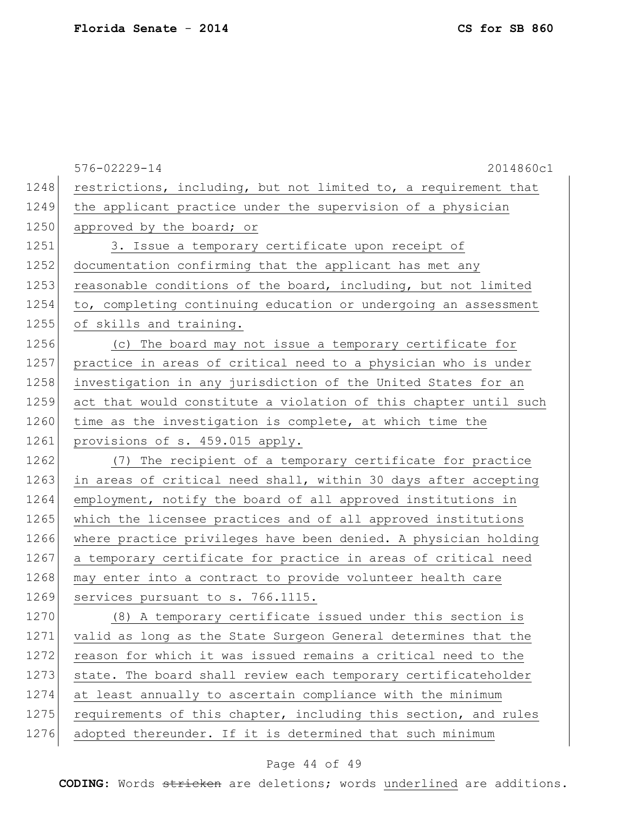|      | 2014860c1<br>576-02229-14                                        |
|------|------------------------------------------------------------------|
| 1248 | restrictions, including, but not limited to, a requirement that  |
| 1249 | the applicant practice under the supervision of a physician      |
| 1250 | approved by the board; or                                        |
| 1251 | 3. Issue a temporary certificate upon receipt of                 |
| 1252 | documentation confirming that the applicant has met any          |
| 1253 | reasonable conditions of the board, including, but not limited   |
| 1254 | to, completing continuing education or undergoing an assessment  |
| 1255 | of skills and training.                                          |
| 1256 | (c) The board may not issue a temporary certificate for          |
| 1257 | practice in areas of critical need to a physician who is under   |
| 1258 | investigation in any jurisdiction of the United States for an    |
| 1259 | act that would constitute a violation of this chapter until such |
| 1260 | time as the investigation is complete, at which time the         |
| 1261 | provisions of s. 459.015 apply.                                  |
| 1262 | (7) The recipient of a temporary certificate for practice        |
| 1263 | in areas of critical need shall, within 30 days after accepting  |
| 1264 | employment, notify the board of all approved institutions in     |
| 1265 | which the licensee practices and of all approved institutions    |
| 1266 | where practice privileges have been denied. A physician holding  |
| 1267 | a temporary certificate for practice in areas of critical need   |
| 1268 | may enter into a contract to provide volunteer health care       |
| 1269 | services pursuant to s. 766.1115.                                |
| 1270 | (8) A temporary certificate issued under this section is         |
| 1271 | valid as long as the State Surgeon General determines that the   |
| 1272 | reason for which it was issued remains a critical need to the    |
| 1273 | state. The board shall review each temporary certificateholder   |
| 1274 | at least annually to ascertain compliance with the minimum       |
| 1275 | requirements of this chapter, including this section, and rules  |
| 1276 | adopted thereunder. If it is determined that such minimum        |

# Page 44 of 49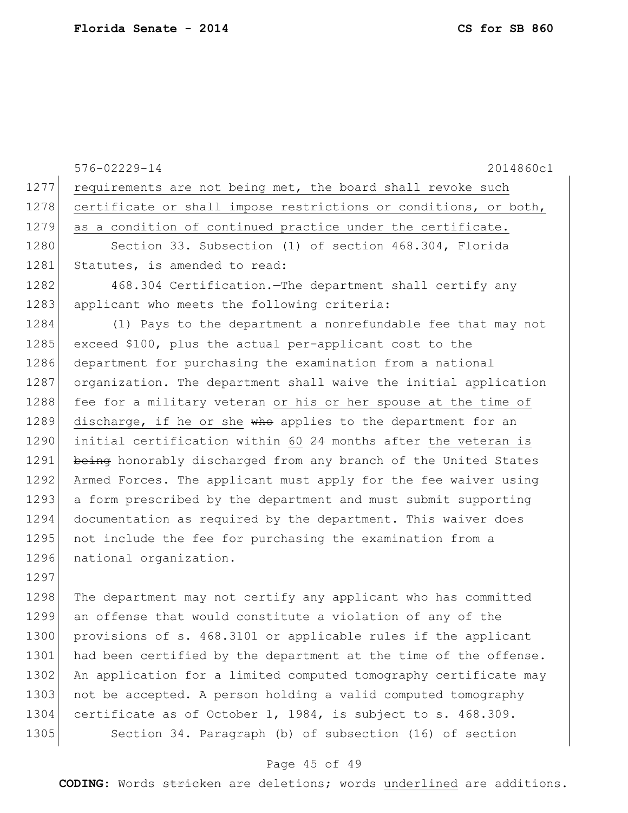576-02229-14 2014860c1 1277 requirements are not being met, the board shall revoke such 1278 certificate or shall impose restrictions or conditions, or both, 1279 as a condition of continued practice under the certificate. 1280 Section 33. Subsection (1) of section 468.304, Florida 1281 Statutes, is amended to read: 1282 468.304 Certification.—The department shall certify any 1283 applicant who meets the following criteria: 1284 (1) Pays to the department a nonrefundable fee that may not 1285 exceed \$100, plus the actual per-applicant cost to the 1286 department for purchasing the examination from a national 1287 organization. The department shall waive the initial application 1288 fee for a military veteran or his or her spouse at the time of 1289 discharge, if he or she who applies to the department for an 1290 initial certification within 60 24 months after the veteran is 1291 being honorably discharged from any branch of the United States 1292 Armed Forces. The applicant must apply for the fee waiver using 1293 a form prescribed by the department and must submit supporting 1294 documentation as required by the department. This waiver does 1295 not include the fee for purchasing the examination from a 1296 national organization. 1297 1298 The department may not certify any applicant who has committed 1299 an offense that would constitute a violation of any of the 1300 provisions of s. 468.3101 or applicable rules if the applicant 1301 had been certified by the department at the time of the offense. 1302 An application for a limited computed tomography certificate may 1303 not be accepted. A person holding a valid computed tomography

1304 certificate as of October 1, 1984, is subject to s. 468.309. 1305 Section 34. Paragraph (b) of subsection (16) of section

#### Page 45 of 49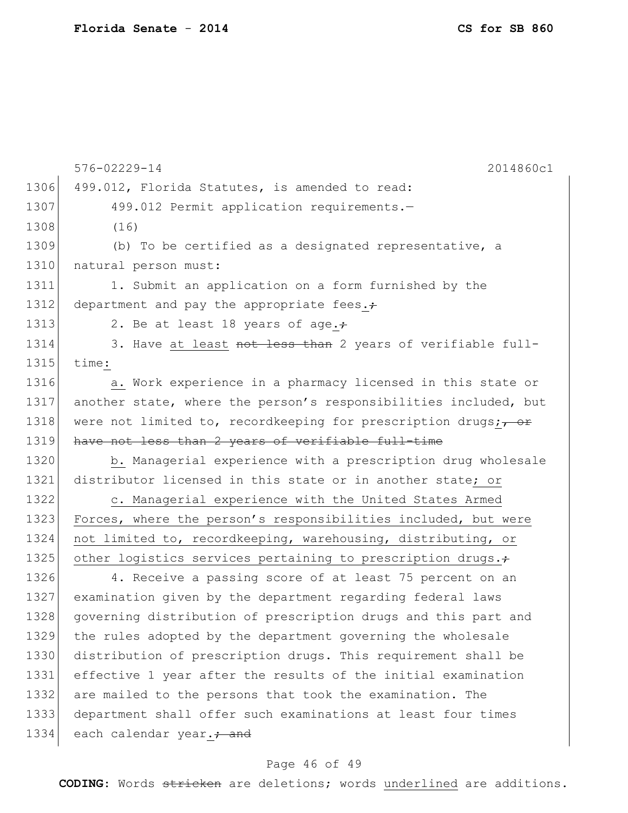|      | $576 - 02229 - 14$<br>2014860c1                                            |
|------|----------------------------------------------------------------------------|
| 1306 | 499.012, Florida Statutes, is amended to read:                             |
| 1307 | 499.012 Permit application requirements.-                                  |
| 1308 | (16)                                                                       |
| 1309 | (b) To be certified as a designated representative, a                      |
| 1310 | natural person must:                                                       |
| 1311 | 1. Submit an application on a form furnished by the                        |
| 1312 | department and pay the appropriate fees.;                                  |
| 1313 | 2. Be at least 18 years of age.+                                           |
| 1314 | 3. Have at least not less than 2 years of verifiable full-                 |
| 1315 | time:                                                                      |
| 1316 | a. Work experience in a pharmacy licensed in this state or                 |
| 1317 | another state, where the person's responsibilities included, but           |
| 1318 | were not limited to, recordkeeping for prescription drugs; $\frac{1}{100}$ |
| 1319 | have not less than 2 years of verifiable full-time                         |
| 1320 | b. Managerial experience with a prescription drug wholesale                |
| 1321 | distributor licensed in this state or in another state; or                 |
| 1322 | c. Managerial experience with the United States Armed                      |
| 1323 | Forces, where the person's responsibilities included, but were             |
| 1324 | not limited to, recordkeeping, warehousing, distributing, or               |
| 1325 | other logistics services pertaining to prescription drugs.+                |
| 1326 | 4. Receive a passing score of at least 75 percent on an                    |
| 1327 | examination given by the department regarding federal laws                 |
| 1328 | governing distribution of prescription drugs and this part and             |
| 1329 | the rules adopted by the department governing the wholesale                |
| 1330 | distribution of prescription drugs. This requirement shall be              |
| 1331 | effective 1 year after the results of the initial examination              |
| 1332 | are mailed to the persons that took the examination. The                   |
| 1333 | department shall offer such examinations at least four times               |
| 1334 | each calendar year. <sup>+</sup> and                                       |

# Page 46 of 49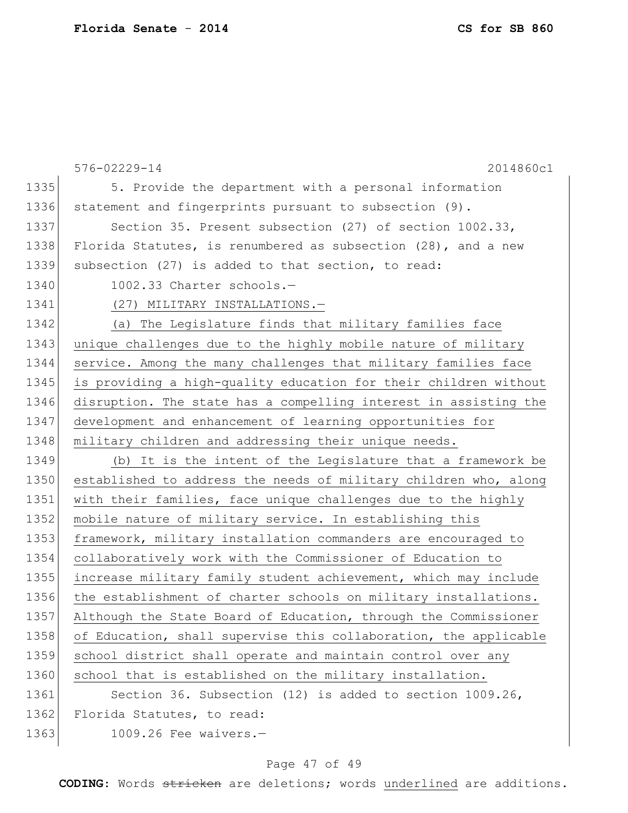|      | 576-02229-14<br>2014860c1                                        |
|------|------------------------------------------------------------------|
| 1335 | 5. Provide the department with a personal information            |
| 1336 | statement and fingerprints pursuant to subsection (9).           |
| 1337 | Section 35. Present subsection (27) of section 1002.33,          |
| 1338 | Florida Statutes, is renumbered as subsection (28), and a new    |
| 1339 | subsection (27) is added to that section, to read:               |
| 1340 | 1002.33 Charter schools.-                                        |
| 1341 | (27) MILITARY INSTALLATIONS.-                                    |
| 1342 | (a) The Legislature finds that military families face            |
| 1343 | unique challenges due to the highly mobile nature of military    |
| 1344 | service. Among the many challenges that military families face   |
| 1345 | is providing a high-quality education for their children without |
| 1346 | disruption. The state has a compelling interest in assisting the |
| 1347 | development and enhancement of learning opportunities for        |
| 1348 | military children and addressing their unique needs.             |
| 1349 | (b) It is the intent of the Legislature that a framework be      |
| 1350 | established to address the needs of military children who, along |
| 1351 | with their families, face unique challenges due to the highly    |
| 1352 | mobile nature of military service. In establishing this          |
| 1353 | framework, military installation commanders are encouraged to    |
| 1354 | collaboratively work with the Commissioner of Education to       |
| 1355 | increase military family student achievement, which may include  |
| 1356 | the establishment of charter schools on military installations.  |
| 1357 | Although the State Board of Education, through the Commissioner  |
| 1358 | of Education, shall supervise this collaboration, the applicable |
| 1359 | school district shall operate and maintain control over any      |
| 1360 | school that is established on the military installation.         |
| 1361 | Section 36. Subsection (12) is added to section 1009.26,         |
| 1362 | Florida Statutes, to read:                                       |
| 1363 | 1009.26 Fee waivers.-                                            |

# Page 47 of 49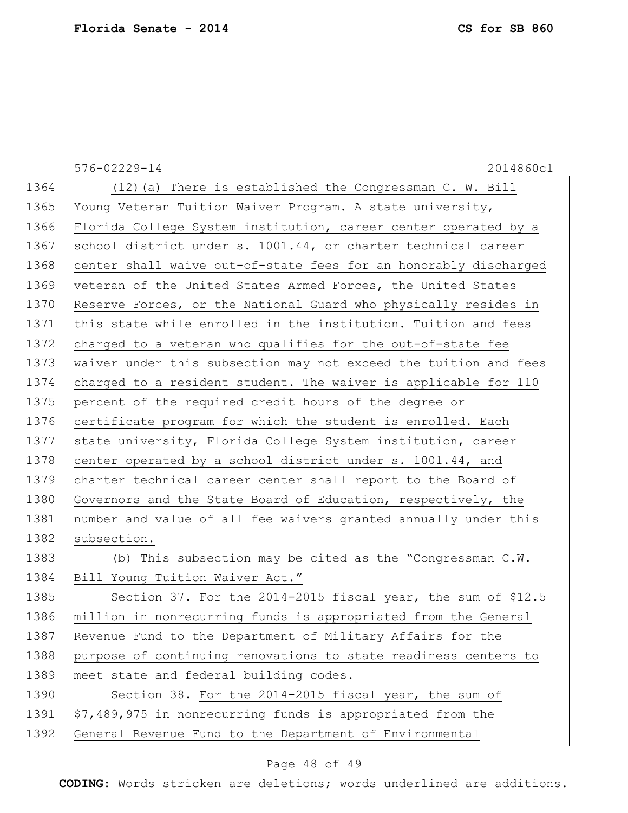576-02229-14 2014860c1 1364 (12) (a) There is established the Congressman C. W. Bill 1365 Young Veteran Tuition Waiver Program. A state university, 1366 Florida College System institution, career center operated by a 1367 school district under s. 1001.44, or charter technical career 1368 center shall waive out-of-state fees for an honorably discharged 1369 veteran of the United States Armed Forces, the United States 1370 Reserve Forces, or the National Guard who physically resides in 1371 this state while enrolled in the institution. Tuition and fees 1372 charged to a veteran who qualifies for the out-of-state fee 1373 waiver under this subsection may not exceed the tuition and fees 1374 charged to a resident student. The waiver is applicable for 110 1375 percent of the required credit hours of the degree or 1376 certificate program for which the student is enrolled. Each 1377 state university, Florida College System institution, career 1378 center operated by a school district under s. 1001.44, and 1379 charter technical career center shall report to the Board of 1380 Governors and the State Board of Education, respectively, the 1381 number and value of all fee waivers granted annually under this 1382 subsection. 1383 (b) This subsection may be cited as the "Congressman C.W. 1384 Bill Young Tuition Waiver Act." 1385 Section 37. For the 2014-2015 fiscal year, the sum of \$12.5 1386 million in nonrecurring funds is appropriated from the General 1387 Revenue Fund to the Department of Military Affairs for the 1388 purpose of continuing renovations to state readiness centers to 1389 meet state and federal building codes. 1390 Section 38. For the 2014-2015 fiscal year, the sum of 1391 \$7,489,975 in nonrecurring funds is appropriated from the 1392 General Revenue Fund to the Department of Environmental

#### Page 48 of 49